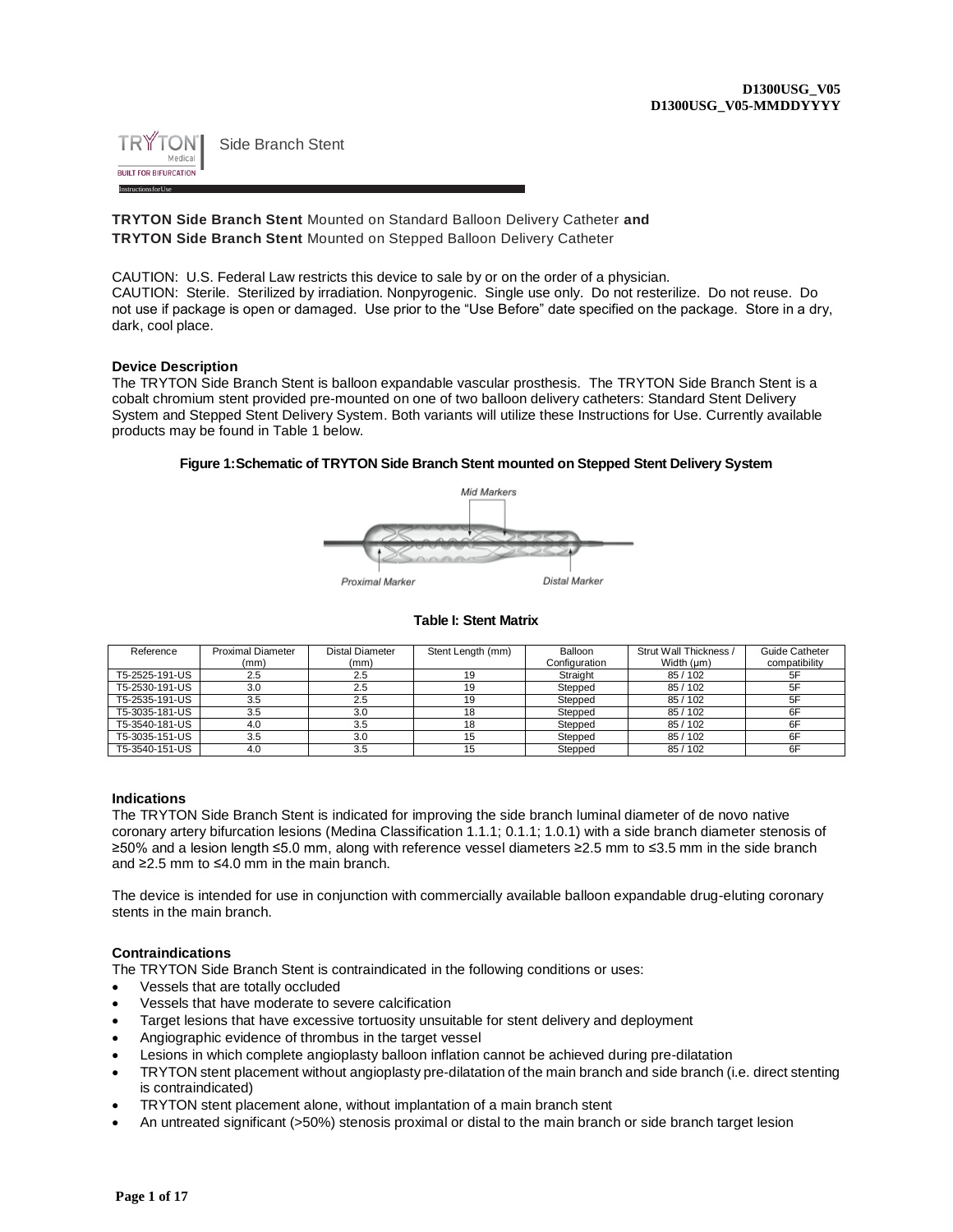

**TRYTON Side Branch Stent** Mounted on Standard Balloon Delivery Catheter **and TRYTON Side Branch Stent** Mounted on Stepped Balloon Delivery Catheter

CAUTION: U.S. Federal Law restricts this device to sale by or on the order of a physician. CAUTION: Sterile. Sterilized by irradiation. Nonpyrogenic. Single use only. Do not resterilize. Do not reuse. Do not use if package is open or damaged. Use prior to the "Use Before" date specified on the package. Store in a dry, dark, cool place.

## **Device Description**

The TRYTON Side Branch Stent is balloon expandable vascular prosthesis. The TRYTON Side Branch Stent is a cobalt chromium stent provided pre-mounted on one of two balloon delivery catheters: Standard Stent Delivery System and Stepped Stent Delivery System. Both variants will utilize these Instructions for Use. Currently available products may be found in Table 1 below.

## **Figure 1:Schematic of TRYTON Side Branch Stent mounted on Stepped Stent Delivery System**



#### **Table I: Stent Matrix**

| Reference      | <b>Proximal Diameter</b> | Distal Diameter | Stent Length (mm) | Balloon       | Strut Wall Thickness / | Guide Catheter |
|----------------|--------------------------|-----------------|-------------------|---------------|------------------------|----------------|
|                | (mm)                     | (mm)            |                   | Configuration | Width (µm)             | compatibility  |
| T5-2525-191-US | 2.5                      | 2.5             | 19                | Straight      | 85/102                 | 5F             |
| T5-2530-191-US | 3.0                      | 2.5             | 19                | Stepped       | 85/102                 | 5F             |
| T5-2535-191-US | 3.5                      | 2.5             | 19                | Stepped       | 85/102                 | 5F             |
| T5-3035-181-US | 3.5                      | 3.0             | 18                | Stepped       | 85/102                 | 6F             |
| T5-3540-181-US | 4.0                      | 3.5             | 18                | Stepped       | 85/102                 | 6F             |
| T5-3035-151-US | 3.5                      | 3.0             |                   | Stepped       | 85/102                 | 6F             |
| T5-3540-151-US | 4.0                      | 3.5             |                   | Stepped       | 85/102                 | 6F             |

# **Indications**

The TRYTON Side Branch Stent is indicated for improving the side branch luminal diameter of de novo native coronary artery bifurcation lesions (Medina Classification 1.1.1; 0.1.1; 1.0.1) with a side branch diameter stenosis of ≥50% and a lesion length ≤5.0 mm, along with reference vessel diameters ≥2.5 mm to ≤3.5 mm in the side branch and ≥2.5 mm to ≤4.0 mm in the main branch.

The device is intended for use in conjunction with commercially available balloon expandable drug-eluting coronary stents in the main branch.

#### **Contraindications**

The TRYTON Side Branch Stent is contraindicated in the following conditions or uses:

- Vessels that are totally occluded
- Vessels that have moderate to severe calcification
- Target lesions that have excessive tortuosity unsuitable for stent delivery and deployment
- Angiographic evidence of thrombus in the target vessel
- Lesions in which complete angioplasty balloon inflation cannot be achieved during pre-dilatation
- TRYTON stent placement without angioplasty pre-dilatation of the main branch and side branch (i.e. direct stenting is contraindicated)
- TRYTON stent placement alone, without implantation of a main branch stent
- An untreated significant (>50%) stenosis proximal or distal to the main branch or side branch target lesion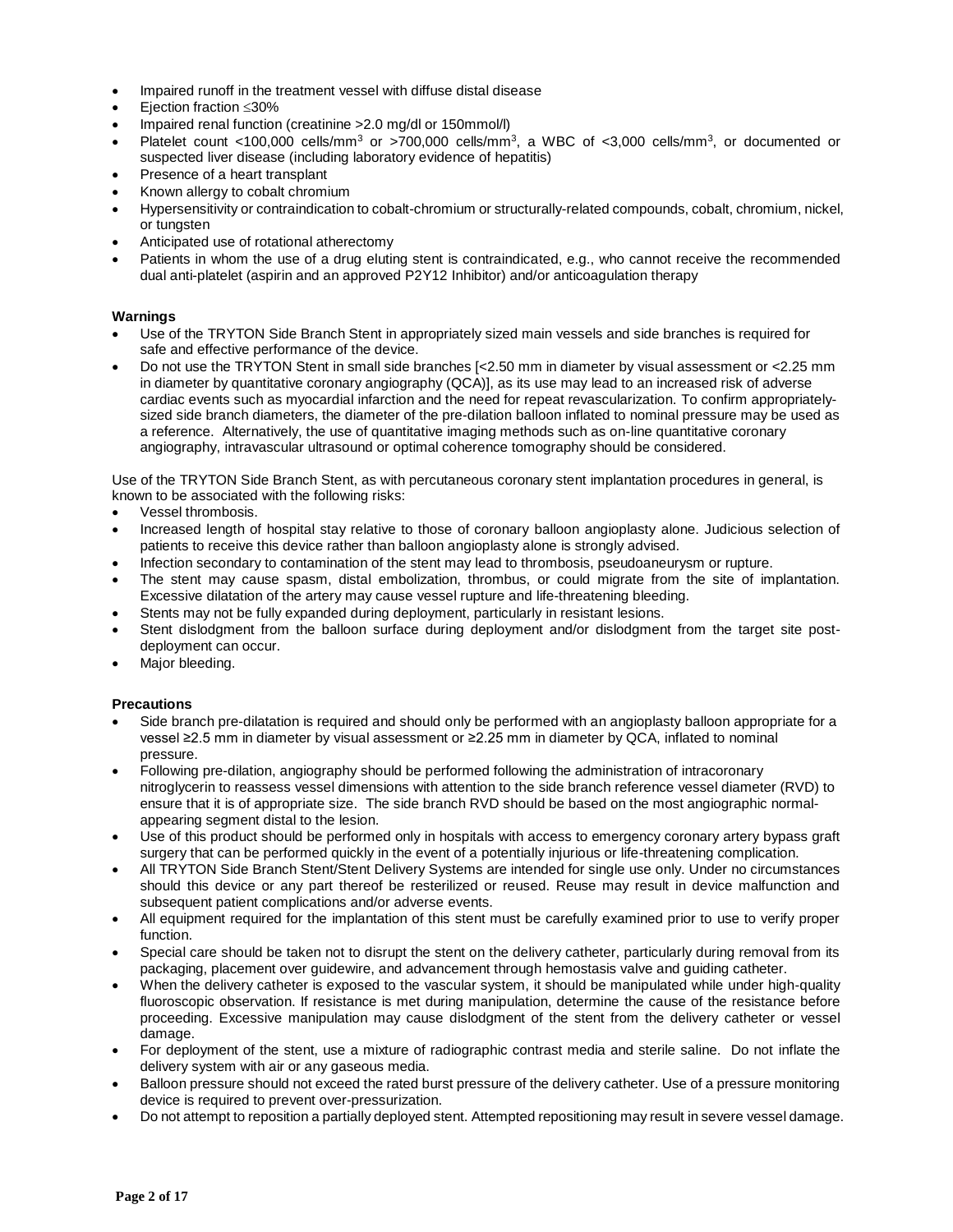- Impaired runoff in the treatment vessel with diffuse distal disease
- Eiection fraction <30%
- Impaired renal function (creatinine >2.0 mg/dl or 150mmol/l)
- Platelet count <100,000 cells/mm<sup>3</sup> or >700,000 cells/mm<sup>3</sup>, a WBC of <3,000 cells/mm<sup>3</sup>, or documented or suspected liver disease (including laboratory evidence of hepatitis)
- Presence of a heart transplant
- Known allergy to cobalt chromium
- Hypersensitivity or contraindication to cobalt-chromium or structurally-related compounds, cobalt, chromium, nickel, or tungsten
- Anticipated use of rotational atherectomy
- Patients in whom the use of a drug eluting stent is contraindicated, e.g., who cannot receive the recommended dual anti-platelet (aspirin and an approved P2Y12 Inhibitor) and/or anticoagulation therapy

# **Warnings**

- Use of the TRYTON Side Branch Stent in appropriately sized main vessels and side branches is required for safe and effective performance of the device.
- Do not use the TRYTON Stent in small side branches [<2.50 mm in diameter by visual assessment or <2.25 mm in diameter by quantitative coronary angiography (QCA)], as its use may lead to an increased risk of adverse cardiac events such as myocardial infarction and the need for repeat revascularization. To confirm appropriatelysized side branch diameters, the diameter of the pre-dilation balloon inflated to nominal pressure may be used as a reference. Alternatively, the use of quantitative imaging methods such as on-line quantitative coronary angiography, intravascular ultrasound or optimal coherence tomography should be considered.

Use of the TRYTON Side Branch Stent, as with percutaneous coronary stent implantation procedures in general, is known to be associated with the following risks:

- Vessel thrombosis.
- Increased length of hospital stay relative to those of coronary balloon angioplasty alone. Judicious selection of patients to receive this device rather than balloon angioplasty alone is strongly advised.
- Infection secondary to contamination of the stent may lead to thrombosis, pseudoaneurysm or rupture.
- The stent may cause spasm, distal embolization, thrombus, or could migrate from the site of implantation. Excessive dilatation of the artery may cause vessel rupture and life-threatening bleeding.
- Stents may not be fully expanded during deployment, particularly in resistant lesions.
- Stent dislodgment from the balloon surface during deployment and/or dislodgment from the target site postdeployment can occur.
- Major bleeding.

# **Precautions**

- Side branch pre-dilatation is required and should only be performed with an angioplasty balloon appropriate for a vessel ≥2.5 mm in diameter by visual assessment or ≥2.25 mm in diameter by QCA, inflated to nominal pressure.
- Following pre-dilation, angiography should be performed following the administration of intracoronary nitroglycerin to reassess vessel dimensions with attention to the side branch reference vessel diameter (RVD) to ensure that it is of appropriate size. The side branch RVD should be based on the most angiographic normalappearing segment distal to the lesion.
- Use of this product should be performed only in hospitals with access to emergency coronary artery bypass graft surgery that can be performed quickly in the event of a potentially injurious or life-threatening complication.
- All TRYTON Side Branch Stent/Stent Delivery Systems are intended for single use only. Under no circumstances should this device or any part thereof be resterilized or reused. Reuse may result in device malfunction and subsequent patient complications and/or adverse events.
- All equipment required for the implantation of this stent must be carefully examined prior to use to verify proper function.
- Special care should be taken not to disrupt the stent on the delivery catheter, particularly during removal from its packaging, placement over guidewire, and advancement through hemostasis valve and guiding catheter.
- When the delivery catheter is exposed to the vascular system, it should be manipulated while under high-quality fluoroscopic observation. If resistance is met during manipulation, determine the cause of the resistance before proceeding. Excessive manipulation may cause dislodgment of the stent from the delivery catheter or vessel damage.
- For deployment of the stent, use a mixture of radiographic contrast media and sterile saline. Do not inflate the delivery system with air or any gaseous media.
- Balloon pressure should not exceed the rated burst pressure of the delivery catheter. Use of a pressure monitoring device is required to prevent over-pressurization.
- Do not attempt to reposition a partially deployed stent. Attempted repositioning may result in severe vessel damage.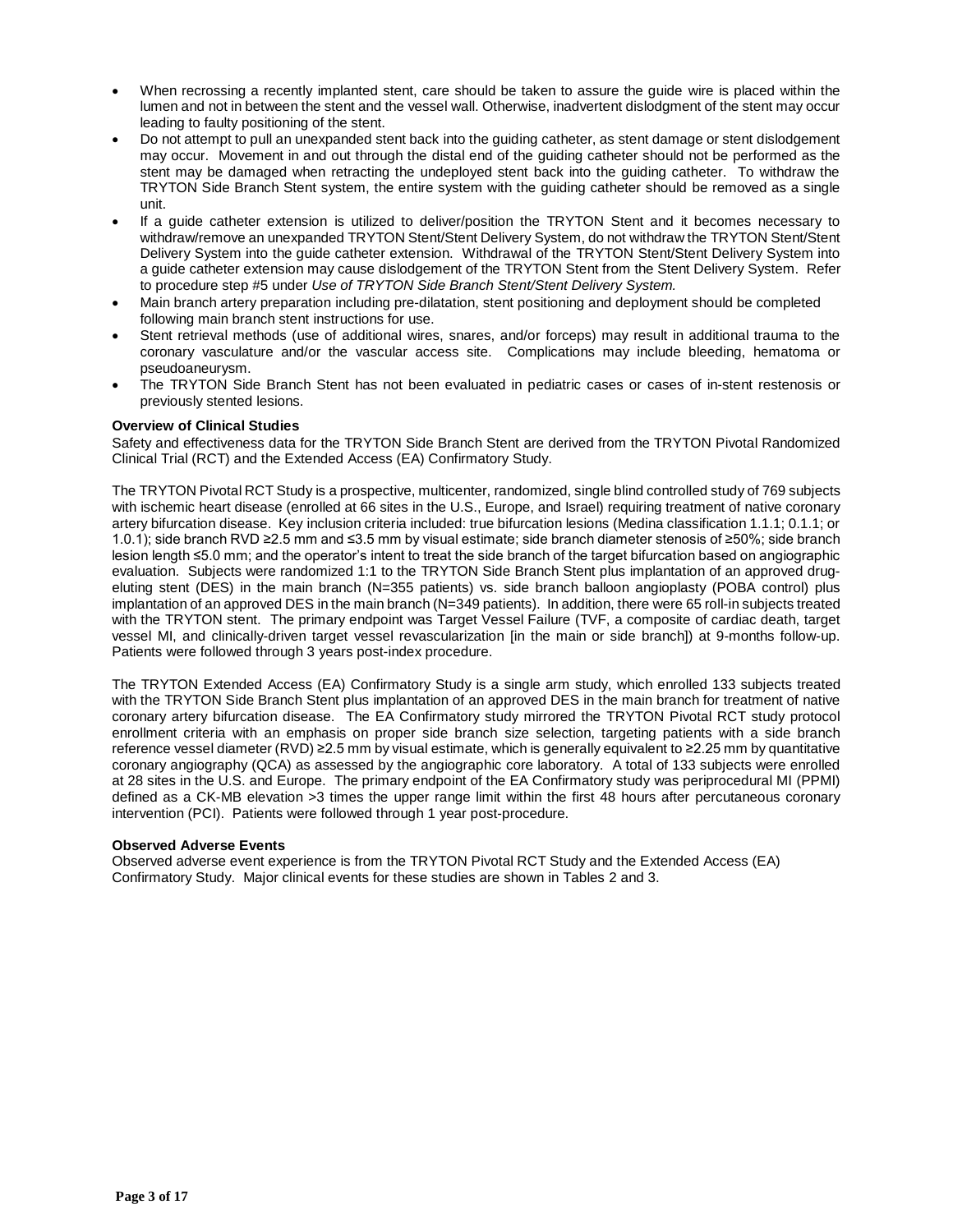- When recrossing a recently implanted stent, care should be taken to assure the guide wire is placed within the lumen and not in between the stent and the vessel wall. Otherwise, inadvertent dislodgment of the stent may occur leading to faulty positioning of the stent.
- Do not attempt to pull an unexpanded stent back into the guiding catheter, as stent damage or stent dislodgement may occur. Movement in and out through the distal end of the guiding catheter should not be performed as the stent may be damaged when retracting the undeployed stent back into the guiding catheter. To withdraw the TRYTON Side Branch Stent system, the entire system with the guiding catheter should be removed as a single unit.
- If a guide catheter extension is utilized to deliver/position the TRYTON Stent and it becomes necessary to withdraw/remove an unexpanded TRYTON Stent/Stent Delivery System, do not withdraw the TRYTON Stent/Stent Delivery System into the guide catheter extension. Withdrawal of the TRYTON Stent/Stent Delivery System into a guide catheter extension may cause dislodgement of the TRYTON Stent from the Stent Delivery System. Refer to procedure step #5 under *Use of TRYTON Side Branch Stent/Stent Delivery System.*
- Main branch artery preparation including pre-dilatation, stent positioning and deployment should be completed following main branch stent instructions for use.
- Stent retrieval methods (use of additional wires, snares, and/or forceps) may result in additional trauma to the coronary vasculature and/or the vascular access site. Complications may include bleeding, hematoma or pseudoaneurysm.
- The TRYTON Side Branch Stent has not been evaluated in pediatric cases or cases of in-stent restenosis or previously stented lesions.

# **Overview of Clinical Studies**

Safety and effectiveness data for the TRYTON Side Branch Stent are derived from the TRYTON Pivotal Randomized Clinical Trial (RCT) and the Extended Access (EA) Confirmatory Study.

The TRYTON Pivotal RCT Study is a prospective, multicenter, randomized, single blind controlled study of 769 subjects with ischemic heart disease (enrolled at 66 sites in the U.S., Europe, and Israel) requiring treatment of native coronary artery bifurcation disease. Key inclusion criteria included: true bifurcation lesions (Medina classification 1.1.1; 0.1.1; or 1.0.1); side branch RVD ≥2.5 mm and ≤3.5 mm by visual estimate; side branch diameter stenosis of ≥50%; side branch lesion length ≤5.0 mm; and the operator's intent to treat the side branch of the target bifurcation based on angiographic evaluation. Subjects were randomized 1:1 to the TRYTON Side Branch Stent plus implantation of an approved drugeluting stent (DES) in the main branch (N=355 patients) vs. side branch balloon angioplasty (POBA control) plus implantation of an approved DES in the main branch (N=349 patients). In addition, there were 65 roll-in subjects treated with the TRYTON stent. The primary endpoint was Target Vessel Failure (TVF, a composite of cardiac death, target vessel MI, and clinically-driven target vessel revascularization [in the main or side branch]) at 9-months follow-up. Patients were followed through 3 years post-index procedure.

The TRYTON Extended Access (EA) Confirmatory Study is a single arm study, which enrolled 133 subjects treated with the TRYTON Side Branch Stent plus implantation of an approved DES in the main branch for treatment of native coronary artery bifurcation disease. The EA Confirmatory study mirrored the TRYTON Pivotal RCT study protocol enrollment criteria with an emphasis on proper side branch size selection, targeting patients with a side branch reference vessel diameter (RVD) ≥2.5 mm by visual estimate, which is generally equivalent to ≥2.25 mm by quantitative coronary angiography (QCA) as assessed by the angiographic core laboratory. A total of 133 subjects were enrolled at 28 sites in the U.S. and Europe. The primary endpoint of the EA Confirmatory study was periprocedural MI (PPMI) defined as a CK-MB elevation >3 times the upper range limit within the first 48 hours after percutaneous coronary intervention (PCI). Patients were followed through 1 year post-procedure.

# **Observed Adverse Events**

Observed adverse event experience is from the TRYTON Pivotal RCT Study and the Extended Access (EA) Confirmatory Study. Major clinical events for these studies are shown in Tables 2 and 3.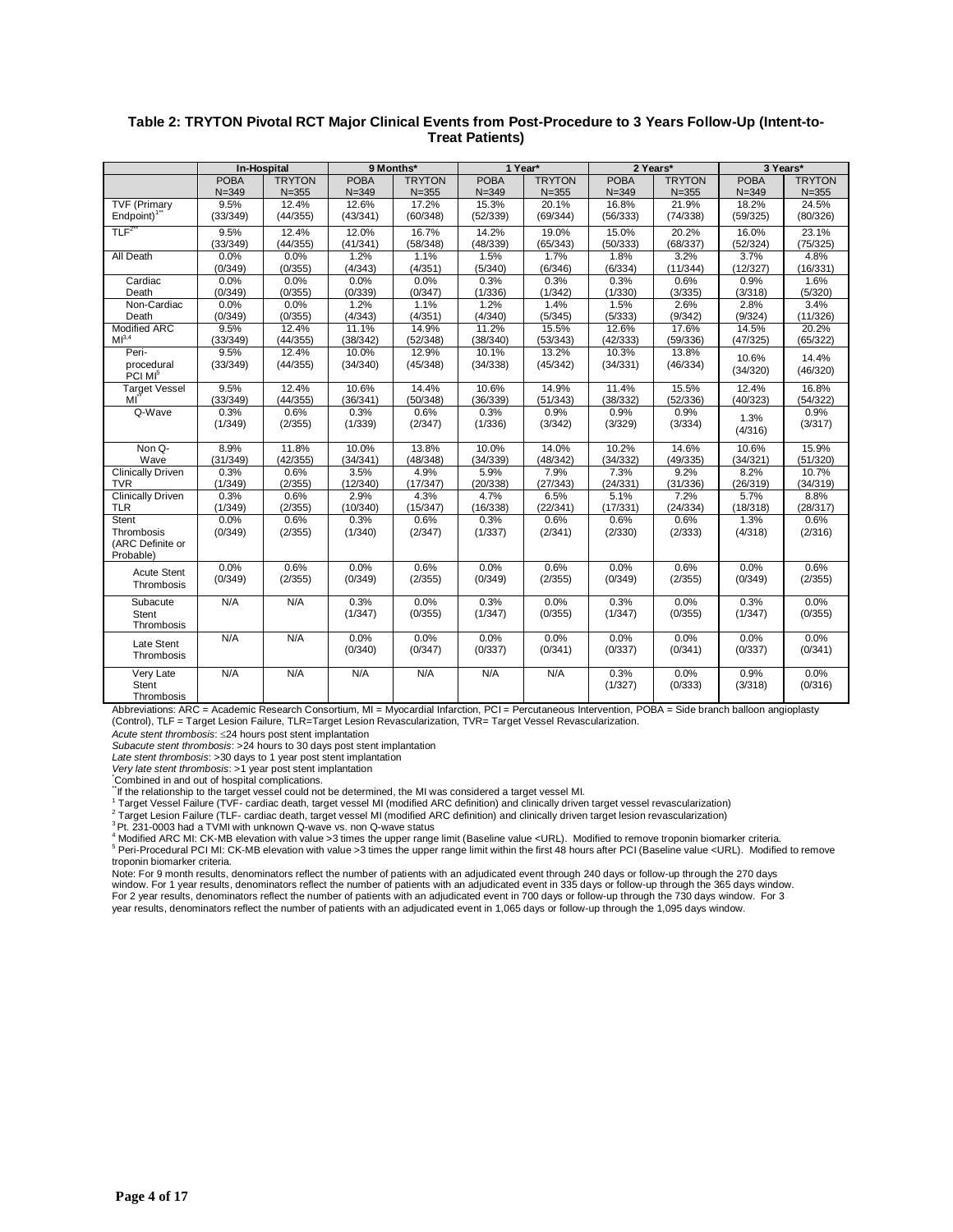|                                  | <b>In-Hospital</b> |               | 9 Months*   |               |             | 1 Year*       |                 | 2 Years*        | 3 Years*        |                 |
|----------------------------------|--------------------|---------------|-------------|---------------|-------------|---------------|-----------------|-----------------|-----------------|-----------------|
|                                  | <b>POBA</b>        | <b>TRYTON</b> | <b>POBA</b> | <b>TRYTON</b> | <b>POBA</b> | <b>TRYTON</b> | <b>POBA</b>     | <b>TRYTON</b>   | <b>POBA</b>     | <b>TRYTON</b>   |
|                                  | $N = 349$          | $N = 355$     | $N = 349$   | $N = 355$     | $N = 349$   | $N = 355$     | $N = 349$       | $N = 355$       | $N = 349$       | $N = 355$       |
| <b>TVF (Primary</b>              | 9.5%               | 12.4%         | 12.6%       | 17.2%         | 15.3%       | 20.1%         | 16.8%           | 21.9%           | 18.2%           | 24.5%           |
| Endpoint) <sup>1"</sup>          | (33/349)           | (44/355)      | (43/341)    | (60/348)      | (52/339)    | (69/344)      | (56/333)        | (74/338)        | (59/325)        | (80/326)        |
| TLF <sup>2</sup>                 | 9.5%               | 12.4%         | 12.0%       | 16.7%         | 14.2%       | 19.0%         | 15.0%           | 20.2%           | 16.0%           | 23.1%           |
|                                  | (33/349)           | (44/355)      | (41/341)    | (58/348)      | (48/339)    | (65/343)      | (50/333)        | (68/337)        | (52/324)        | (75/325)        |
| All Death                        | 0.0%               | 0.0%          | 1.2%        | 1.1%          | 1.5%        | 1.7%          | 1.8%            | 3.2%            | 3.7%            | 4.8%            |
|                                  | (0/349)            | (0/355)       | (4/343)     | (4/351)       | (5/340)     | (6/346)       | (6/334)         | (11/344)        | (12/327)        | (16/331)        |
| Cardiac                          | 0.0%               | 0.0%          | 0.0%        | 0.0%          | 0.3%        | 0.3%          | 0.3%            | 0.6%            | 0.9%            | 1.6%            |
| Death                            | (0/349)            | (0/355)       | (0/339)     | (0/347)       | (1/336)     | (1/342)       | (1/330)         | (3/335)         | (3/318)         | (5/320)         |
| Non-Cardiac                      | 0.0%               | 0.0%          | 1.2%        | 1.1%          | 1.2%        | 1.4%          | 1.5%            | 2.6%            | 2.8%            | 3.4%            |
| Death                            | (0/349)            | (0/355)       | (4/343)     | (4/351)       | (4/340)     | (5/345)       | (5/333)         | (9/342)         | (9/324)         | (11/326)        |
| <b>Modified ARC</b>              | 9.5%               | 12.4%         | 11.1%       | 14.9%         | 11.2%       | 15.5%         | 12.6%           | 17.6%           | 14.5%           | 20.2%           |
| MI <sup>3,4</sup>                | (33/349)           | (44/355)      | (38/342)    | (52/348)      | (38/340)    | (53/343)      | (42/333)        | (59/336)        | (47/325)        | (65/322)        |
| Peri-                            | 9.5%               | 12.4%         | 10.0%       | 12.9%         | 10.1%       | 13.2%         | 10.3%           | 13.8%           | 10.6%           | 14.4%           |
| procedural                       | (33/349)           | (44/355)      | (34/340)    | (45/348)      | (34/338)    | (45/342)      | (34/331)        | (46/334)        | (34/320)        | (46/320)        |
| PCI MI <sup>5</sup>              |                    |               |             |               |             |               |                 |                 |                 |                 |
| <b>Target Vessel</b>             | 9.5%               | 12.4%         | 10.6%       | 14.4%         | 10.6%       | 14.9%         | 11.4%           | 15.5%           | 12.4%           | 16.8%           |
| MI                               | (33/349)           | (44/355)      | (36/341)    | (50/348)      | (36/339)    | (51/343)      | (38/332)        | (52/336)        | (40/323)        | (54/322)        |
| Q-Wave                           | 0.3%               | 0.6%          | 0.3%        | 0.6%          | 0.3%        | 0.9%          | 0.9%            | 0.9%            | 1.3%            | 0.9%            |
|                                  | (1/349)            | (2/355)       | (1/339)     | (2/347)       | (1/336)     | (3/342)       | (3/329)         | (3/334)         | (4/316)         | (3/317)         |
|                                  |                    |               |             |               |             |               |                 |                 |                 |                 |
| Non Q-                           | 8.9%               | 11.8%         | 10.0%       | 13.8%         | 10.0%       | 14.0%         | 10.2%           | 14.6%           | 10.6%           | 15.9%           |
| Wave                             | (31/349)           | (42/355)      | (34/341)    | (48/348)      | (34/339)    | (48/342)      | (34/332)        | (49/335)        | (34/321)        | (51/320)        |
| <b>Clinically Driven</b>         | 0.3%               | 0.6%          | 3.5%        | 4.9%          | 5.9%        | 7.9%          | 7.3%            | 9.2%            | 8.2%            | 10.7%           |
| <b>TVR</b>                       | (1/349)            | (2/355)       | (12/340)    | (17/347)      | (20/338)    | (27/343)      | (24/331)        | (31/336)        | (26/319)        | (34/319)        |
| <b>Clinically Driven</b>         | 0.3%               | 0.6%          | 2.9%        | 4.3%          | 4.7%        | 6.5%          | 5.1%            | 7.2%            | 5.7%            | 8.8%            |
| <b>TLR</b>                       | (1/349)            | (2/355)       | (10/340)    | (15/347)      | (16/338)    | (22/341)      | (17/331)        | (24/334)        | (18/318)        | (28/317)        |
| Stent                            | 0.0%               | 0.6%          | 0.3%        | 0.6%          | 0.3%        | 0.6%          | 0.6%            | 0.6%            | 1.3%            | 0.6%            |
| Thrombosis                       | (0/349)            | (2/355)       | (1/340)     | (2/347)       | (1/337)     | (2/341)       | (2/330)         | (2/333)         | (4/318)         | (2/316)         |
| (ARC Definite or                 |                    |               |             |               |             |               |                 |                 |                 |                 |
| Probable)                        |                    |               |             |               |             |               |                 |                 |                 |                 |
| Acute Stent                      | 0.0%               | 0.6%          | 0.0%        | 0.6%          | 0.0%        | 0.6%          | 0.0%            | 0.6%            | 0.0%            | 0.6%            |
| Thrombosis                       | (0/349)            | (2/355)       | (0/349)     | (2/355)       | (0/349)     | (2/355)       | (0/349)         | (2/355)         | (0/349)         | (2/355)         |
|                                  |                    |               |             |               |             |               |                 |                 |                 |                 |
| Subacute                         | N/A                | N/A           | 0.3%        | 0.0%          | 0.3%        | 0.0%          | 0.3%            | 0.0%            | 0.3%            | 0.0%            |
| Stent                            |                    |               | (1/347)     | (0/355)       | (1/347)     | (0/355)       | (1/347)         | (0/355)         | (1/347)         | (0/355)         |
| Thrombosis                       |                    |               |             |               |             |               |                 |                 |                 |                 |
| Late Stent                       | N/A                | N/A           | 0.0%        | 0.0%          | 0.0%        | 0.0%          | 0.0%            | 0.0%            | 0.0%            | 0.0%            |
| Thrombosis                       |                    |               | (0/340)     | (0/347)       | (0/337)     | (0/341)       | (0/337)         | (0/341)         | (0/337)         | (0/341)         |
|                                  |                    |               |             |               |             |               |                 |                 |                 |                 |
|                                  |                    |               |             |               |             |               |                 |                 |                 |                 |
|                                  |                    |               |             |               |             |               |                 |                 |                 |                 |
| Very Late<br>Stent<br>Thrombosis | N/A                | N/A           | N/A         | N/A           | N/A         | N/A           | 0.3%<br>(1/327) | 0.0%<br>(0/333) | 0.9%<br>(3/318) | 0.0%<br>(0/316) |

## **Table 2: TRYTON Pivotal RCT Major Clinical Events from Post-Procedure to 3 Years Follow-Up (Intent-to-Treat Patients)**

Abbreviations: ARC = Academic Research Consortium, MI = Myocardial Infarction, PCI = Percutaneous Intervention, POBA = Side branch balloon angioplasty (Control), TLF = Target Lesion Failure, TLR=Target Lesion Revascularization, TVR= Target Vessel Revascularization.

*Acute stent thrombosis*: 24 hours post stent implantation

*Subacute stent thrombosis*: >24 hours to 30 days post stent implantation

*Late stent thrombosis*: >30 days to 1 year post stent implantation

*Very late stent thrombosis*: >1 year post stent implantation

\*Combined in and out of hospital complications.

\*\*If the relationship to the target vessel could not be determined, the MI was considered a target vessel MI.

1 Target Vessel Failure (TVF- cardiac death, target vessel MI (modified ARC definition) and clinically driven target vessel revascularization)

<sup>2</sup> Target Lesion Failure (TLF- cardiac death, target vessel MI (modified ARC definition) and clinically driven target lesion revascularization)

<sup>3</sup> Pt. 231-0003 had a TVMI with unknown Q-wave vs. non Q-wave status

Modified ARC MI: CK-MB elevation with value >3 times the upper range limit (Baseline value <URL). Modified to remove troponin biomarker criteria.

<sup>5</sup> Peri-Procedural PCI MI: CK-MB elevation with value >3 times the upper range limit within the first 48 hours after PCI (Baseline value <URL). Modified to remove troponin biomarker criteria.

Note: For 9 month results, denominators reflect the number of patients with an adjudicated event through 240 days or follow-up through the 270 days window. For 1 year results, denominators reflect the number of patients with an adjudicated event in 335 days or follow-up through the 365 days window.<br>For 2 year results, denominators reflect the number of patients with a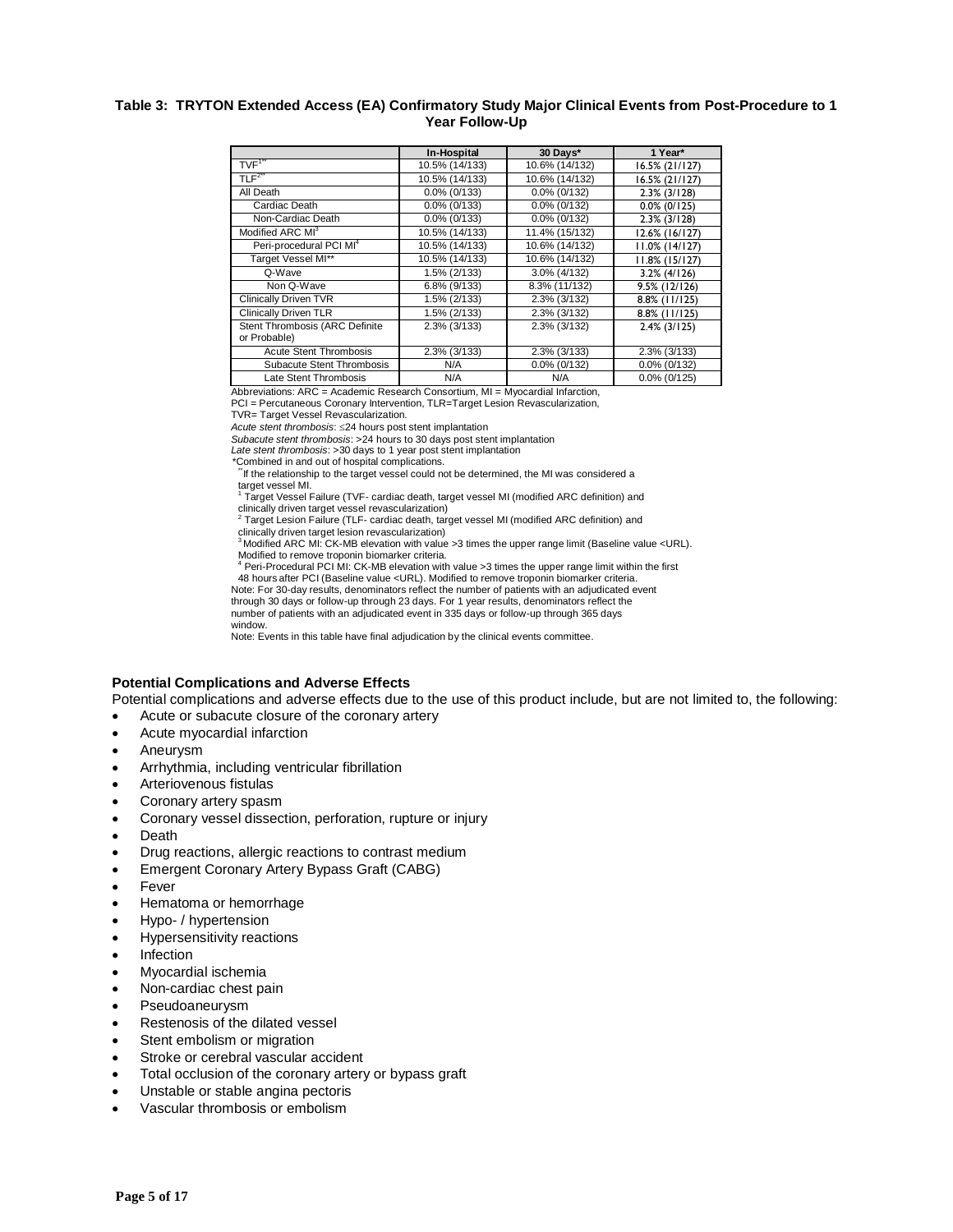## **Table 3: TRYTON Extended Access (EA) Confirmatory Study Major Clinical Events from Post-Procedure to 1 Year Follow-Up**

|                                                | In-Hospital         | 30 Davs*        | 1 Year*             |
|------------------------------------------------|---------------------|-----------------|---------------------|
| TVF <sup>1"</sup>                              | 10.5% (14/133)      | 10.6% (14/132)  | 16.5% (21/127)      |
| TLF <sup>2</sup>                               | 10.5% (14/133)      | 10.6% (14/132)  | 16.5% (21/127)      |
| All Death                                      | $0.0\%$ (0/133)     | $0.0\%$ (0/132) | $2.3\%$ ( $3/128$ ) |
| Cardiac Death                                  | $0.0\%$ (0/133)     | $0.0\%$ (0/132) | $0.0\%$ (0/125)     |
| Non-Cardiac Death                              | $0.0\%$ (0/133)     | $0.0\%$ (0/132) | $2.3\%$ ( $3/128$ ) |
| Modified ARC MI <sup>3</sup>                   | 10.5% (14/133)      | 11.4% (15/132)  | 12.6% (16/127)      |
| Peri-procedural PCI MI <sup>4</sup>            | 10.5% (14/133)      | 10.6% (14/132)  | $11.0\%$ (14/127)   |
| Target Vessel MI**                             | 10.5% (14/133)      | 10.6% (14/132)  | $11.8\%$ (15/127)   |
| Q-Wave                                         | 1.5% (2/133)        | 3.0% (4/132)    | $3.2\%$ (4/126)     |
| Non Q-Wave                                     | 6.8% (9/133)        | 8.3% (11/132)   | $9.5\%$ (12/126)    |
| <b>Clinically Driven TVR</b>                   | 1.5% (2/133)        | 2.3% (3/132)    | 8.8% (11/125)       |
| <b>Clinically Driven TLR</b>                   | 1.5% (2/133)        | 2.3% (3/132)    | 8.8% (11/125)       |
| Stent Thrombosis (ARC Definite<br>or Probable) | $2.3\%$ ( $3/133$ ) | 2.3% (3/132)    | $2.4\%$ (3/125)     |
| <b>Acute Stent Thrombosis</b>                  | 2.3% (3/133)        | 2.3% (3/133)    | 2.3% (3/133)        |
| Subacute Stent Thrombosis                      | N/A                 | $0.0\%$ (0/132) | $0.0\%$ (0/132)     |
| Late Stent Thrombosis                          | N/A                 | N/A             | $0.0\%$ (0/125)     |

Abbreviations:  $ARC = Academic Research Consortium$ ,  $MI = Mvocardial Information$ PCI = Percutaneous Coronary Intervention, TLR=Target Lesion Revascularization,

TVR= Target Vessel Revascularization.

*Acute stent thrombosis*: 24 hours post stent implantation

*Subacute stent thrombosis*: >24 hours to 30 days post stent implantation

*Late stent thrombosis*: >30 days to 1 year post stent implantation

\*Combined in and out of hospital complications.

If the relationship to the target vessel could not be determined, the MI was considered a target vessel MI.

<sup>1</sup> Target Vessel Failure (TVF- cardiac death, target vessel MI (modified ARC definition) and

clinically driven target vessel revascularization)<br><sup>2</sup> Target Lesion Failure (TLF- cardiac death, target vessel MI (modified ARC definition) and

clinically driven target lesion revascularization) <sup>3</sup> Modified ARC MI: CK-MB elevation with value >3 times the upper range limit (Baseline value <URL). Modified to remove troponin biomarker criteria.

<sup>4</sup> Peri-Procedural PCI MI: CK-MB elevation with value > 3 times the upper range limit within the first

48 hours after PCI (Baseline value <URL). Modified to remove troponin biomarker criteria. Note: For 30-day results, denominators reflect the number of patients with an adjudicated event

through 30 days or follow-up through 23 days. For 1 year results, denominators reflect the

number of patients with an adjudicated event in 335 days or follow-up through 365 days

window. Note: Events in this table have final adjudication by the clinical events committee.

# **Potential Complications and Adverse Effects**

Potential complications and adverse effects due to the use of this product include, but are not limited to, the following:

- Acute or subacute closure of the coronary artery
- Acute myocardial infarction
- Aneurysm
- Arrhythmia, including ventricular fibrillation
- Arteriovenous fistulas
- Coronary artery spasm
- Coronary vessel dissection, perforation, rupture or injury
- **Death**
- Drug reactions, allergic reactions to contrast medium
- Emergent Coronary Artery Bypass Graft (CABG)
- **Fever**
- Hematoma or hemorrhage
- Hypo- / hypertension
- Hypersensitivity reactions
- Infection
- Myocardial ischemia
- Non-cardiac chest pain
- Pseudoaneurysm
- Restenosis of the dilated vessel
- Stent embolism or migration
- Stroke or cerebral vascular accident
- Total occlusion of the coronary artery or bypass graft
- Unstable or stable angina pectoris
- Vascular thrombosis or embolism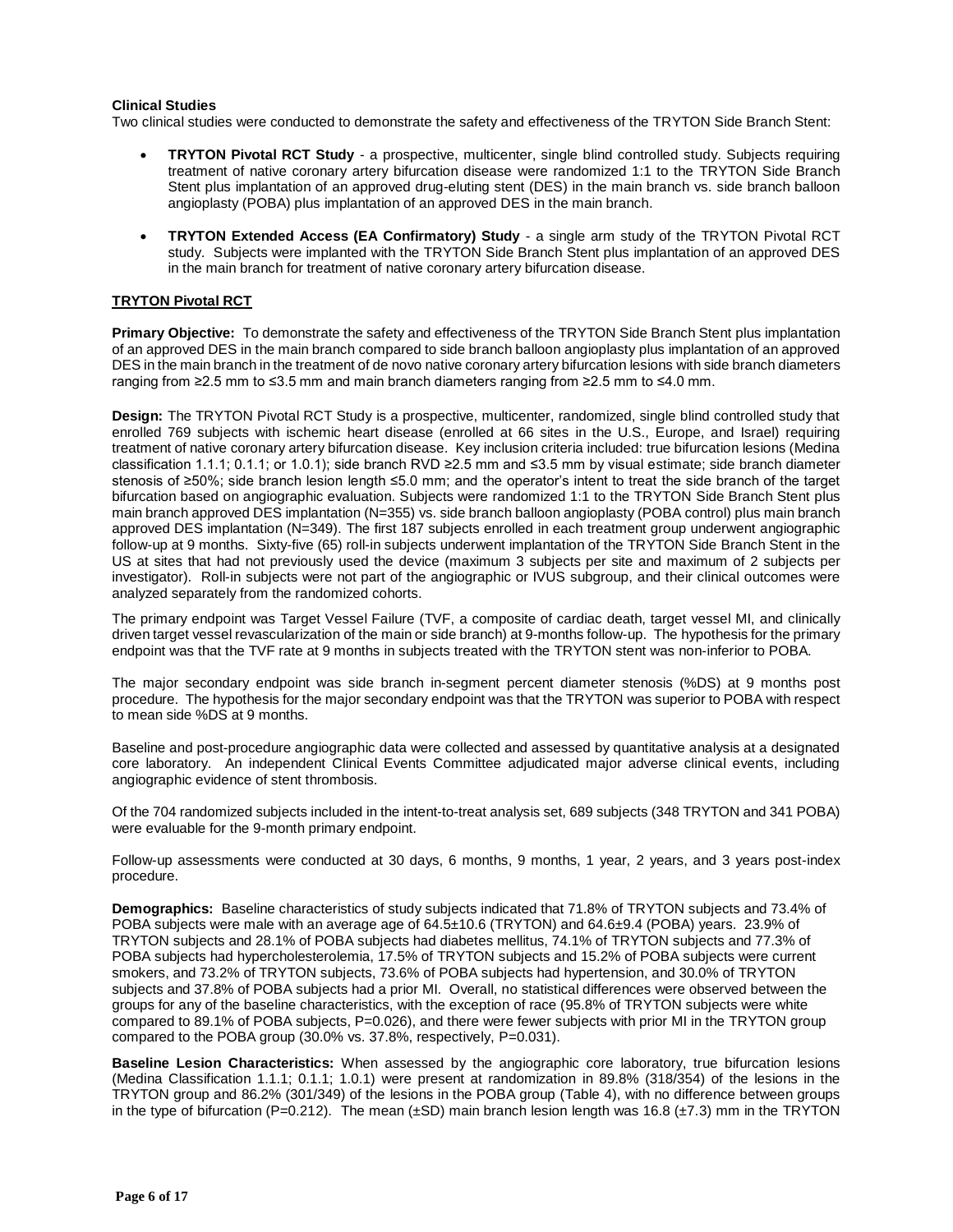## **Clinical Studies**

Two clinical studies were conducted to demonstrate the safety and effectiveness of the TRYTON Side Branch Stent:

- **TRYTON Pivotal RCT Study** a prospective, multicenter, single blind controlled study. Subjects requiring treatment of native coronary artery bifurcation disease were randomized 1:1 to the TRYTON Side Branch Stent plus implantation of an approved drug-eluting stent (DES) in the main branch vs. side branch balloon angioplasty (POBA) plus implantation of an approved DES in the main branch.
- **TRYTON Extended Access (EA Confirmatory) Study** a single arm study of the TRYTON Pivotal RCT study. Subjects were implanted with the TRYTON Side Branch Stent plus implantation of an approved DES in the main branch for treatment of native coronary artery bifurcation disease.

## **TRYTON Pivotal RCT**

**Primary Objective:** To demonstrate the safety and effectiveness of the TRYTON Side Branch Stent plus implantation of an approved DES in the main branch compared to side branch balloon angioplasty plus implantation of an approved DES in the main branch in the treatment of de novo native coronary artery bifurcation lesions with side branch diameters ranging from ≥2.5 mm to ≤3.5 mm and main branch diameters ranging from ≥2.5 mm to ≤4.0 mm.

**Design:** The TRYTON Pivotal RCT Study is a prospective, multicenter, randomized, single blind controlled study that enrolled 769 subjects with ischemic heart disease (enrolled at 66 sites in the U.S., Europe, and Israel) requiring treatment of native coronary artery bifurcation disease. Key inclusion criteria included: true bifurcation lesions (Medina classification 1.1.1; 0.1.1; or 1.0.1); side branch RVD ≥2.5 mm and ≤3.5 mm by visual estimate; side branch diameter stenosis of ≥50%; side branch lesion length ≤5.0 mm; and the operator's intent to treat the side branch of the target bifurcation based on angiographic evaluation. Subjects were randomized 1:1 to the TRYTON Side Branch Stent plus main branch approved DES implantation (N=355) vs. side branch balloon angioplasty (POBA control) plus main branch approved DES implantation (N=349). The first 187 subjects enrolled in each treatment group underwent angiographic follow-up at 9 months. Sixty-five (65) roll-in subjects underwent implantation of the TRYTON Side Branch Stent in the US at sites that had not previously used the device (maximum 3 subjects per site and maximum of 2 subjects per investigator). Roll-in subjects were not part of the angiographic or IVUS subgroup, and their clinical outcomes were analyzed separately from the randomized cohorts.

The primary endpoint was Target Vessel Failure (TVF, a composite of cardiac death, target vessel MI, and clinically driven target vessel revascularization of the main or side branch) at 9-months follow-up. The hypothesis for the primary endpoint was that the TVF rate at 9 months in subjects treated with the TRYTON stent was non-inferior to POBA.

The major secondary endpoint was side branch in-segment percent diameter stenosis (%DS) at 9 months post procedure. The hypothesis for the major secondary endpoint was that the TRYTON was superior to POBA with respect to mean side %DS at 9 months.

Baseline and post-procedure angiographic data were collected and assessed by quantitative analysis at a designated core laboratory. An independent Clinical Events Committee adjudicated major adverse clinical events, including angiographic evidence of stent thrombosis.

Of the 704 randomized subjects included in the intent-to-treat analysis set, 689 subjects (348 TRYTON and 341 POBA) were evaluable for the 9-month primary endpoint.

Follow-up assessments were conducted at 30 days, 6 months, 9 months, 1 year, 2 years, and 3 years post-index procedure.

**Demographics:** Baseline characteristics of study subjects indicated that 71.8% of TRYTON subjects and 73.4% of POBA subjects were male with an average age of 64.5±10.6 (TRYTON) and 64.6±9.4 (POBA) years. 23.9% of TRYTON subjects and 28.1% of POBA subjects had diabetes mellitus, 74.1% of TRYTON subjects and 77.3% of POBA subjects had hypercholesterolemia, 17.5% of TRYTON subjects and 15.2% of POBA subjects were current smokers, and 73.2% of TRYTON subjects, 73.6% of POBA subjects had hypertension, and 30.0% of TRYTON subjects and 37.8% of POBA subjects had a prior MI. Overall, no statistical differences were observed between the groups for any of the baseline characteristics, with the exception of race (95.8% of TRYTON subjects were white compared to 89.1% of POBA subjects, P=0.026), and there were fewer subjects with prior MI in the TRYTON group compared to the POBA group (30.0% vs. 37.8%, respectively, P=0.031).

**Baseline Lesion Characteristics:** When assessed by the angiographic core laboratory, true bifurcation lesions (Medina Classification 1.1.1; 0.1.1; 1.0.1) were present at randomization in 89.8% (318/354) of the lesions in the TRYTON group and 86.2% (301/349) of the lesions in the POBA group (Table 4), with no difference between groups in the type of bifurcation (P=0.212). The mean  $(\pm SD)$  main branch lesion length was 16.8 ( $\pm 7.3$ ) mm in the TRYTON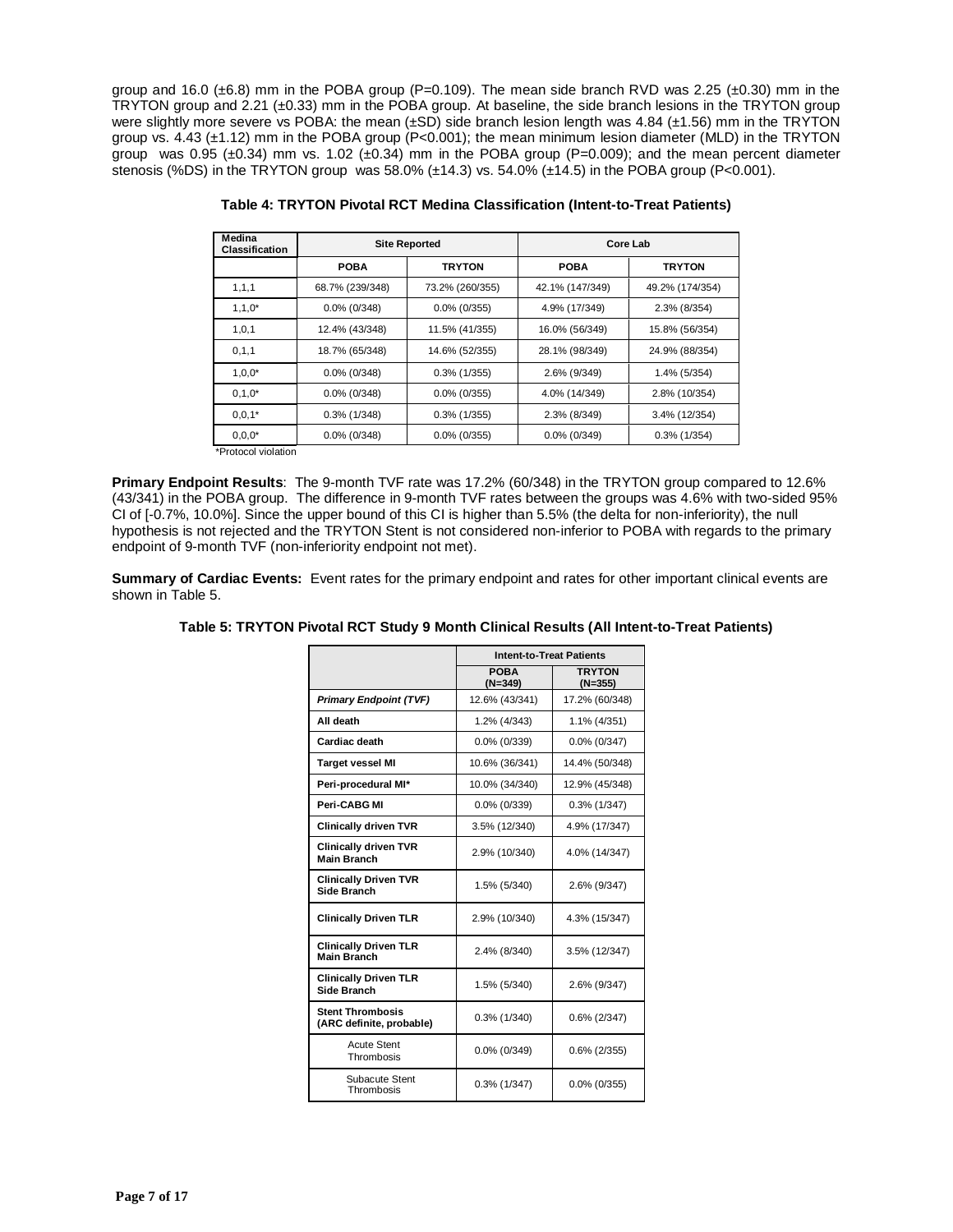group and 16.0 ( $\pm$ 6.8) mm in the POBA group (P=0.109). The mean side branch RVD was 2.25 ( $\pm$ 0.30) mm in the TRYTON group and 2.21 (±0.33) mm in the POBA group. At baseline, the side branch lesions in the TRYTON group were slightly more severe vs POBA: the mean  $(\pm SD)$  side branch lesion length was 4.84 ( $\pm 1.56$ ) mm in the TRYTON group vs. 4.43 (±1.12) mm in the POBA group (P<0.001); the mean minimum lesion diameter (MLD) in the TRYTON group was 0.95 ( $\pm$ 0.34) mm vs. 1.02 ( $\pm$ 0.34) mm in the POBA group (P=0.009); and the mean percent diameter stenosis (%DS) in the TRYTON group was 58.0% (±14.3) vs. 54.0% (±14.5) in the POBA group (P<0.001).

| Medina<br><b>Classification</b> |                 | <b>Site Reported</b> |                 | Core Lab        |
|---------------------------------|-----------------|----------------------|-----------------|-----------------|
|                                 | <b>POBA</b>     | <b>TRYTON</b>        | <b>POBA</b>     | <b>TRYTON</b>   |
| 1, 1, 1                         | 68.7% (239/348) | 73.2% (260/355)      | 42.1% (147/349) | 49.2% (174/354) |
| $1, 1, 0^*$                     | $0.0\%$ (0/348) | $0.0\%$ (0/355)      | 4.9% (17/349)   | 2.3% (8/354)    |
| 1,0,1                           | 12.4% (43/348)  | 11.5% (41/355)       |                 | 15.8% (56/354)  |
| 0, 1, 1                         | 18.7% (65/348)  | 14.6% (52/355)       | 28.1% (98/349)  | 24.9% (88/354)  |
| $1,0,0^*$                       | $0.0\%$ (0/348) | $0.3\%$ (1/355)      | 2.6% (9/349)    | 1.4% (5/354)    |
| $0.1,0*$                        | $0.0\%$ (0/348) | $0.0\%$ (0/355)      | 4.0% (14/349)   | 2.8% (10/354)   |
| $0,0,1*$                        | $0.3\%$ (1/348) | $0.3\%$ (1/355)      | 2.3% (8/349)    | 3.4% (12/354)   |
| $0,0,0^*$                       | $0.0\%$ (0/348) | $0.0\%$ (0/355)      | $0.0\%$ (0/349) | $0.3\%$ (1/354) |

**Table 4: TRYTON Pivotal RCT Medina Classification (Intent-to-Treat Patients)**

\*Protocol violation

**Primary Endpoint Results**: The 9-month TVF rate was 17.2% (60/348) in the TRYTON group compared to 12.6% (43/341) in the POBA group. The difference in 9-month TVF rates between the groups was 4.6% with two-sided 95% CI of [-0.7%, 10.0%]. Since the upper bound of this CI is higher than 5.5% (the delta for non-inferiority), the null hypothesis is not rejected and the TRYTON Stent is not considered non-inferior to POBA with regards to the primary endpoint of 9-month TVF (non-inferiority endpoint not met).

**Summary of Cardiac Events:** Event rates for the primary endpoint and rates for other important clinical events are shown in Table 5.

|                                                     | <b>Intent-to-Treat Patients</b> |                            |
|-----------------------------------------------------|---------------------------------|----------------------------|
|                                                     | <b>POBA</b><br>$(N=349)$        | <b>TRYTON</b><br>$(N=355)$ |
| <b>Primary Endpoint (TVF)</b>                       | 12.6% (43/341)                  | 17.2% (60/348)             |
| All death                                           | 1.2% (4/343)                    | 1.1% (4/351)               |
| Cardiac death                                       | $0.0\%$ (0/339)                 | $0.0\%$ (0/347)            |
| <b>Target vessel MI</b>                             | 10.6% (36/341)                  | 14.4% (50/348)             |
| Peri-procedural MI*                                 | 10.0% (34/340)                  | 12.9% (45/348)             |
| Peri-CABG MI                                        | $0.0\%$ (0/339)                 | $0.3\%$ (1/347)            |
| <b>Clinically driven TVR</b>                        | 3.5% (12/340)                   | 4.9% (17/347)              |
| <b>Clinically driven TVR</b><br><b>Main Branch</b>  | 2.9% (10/340)                   | 4.0% (14/347)              |
| <b>Clinically Driven TVR</b><br>Side Branch         | 1.5% (5/340)                    | 2.6% (9/347)               |
| <b>Clinically Driven TLR</b>                        | 2.9% (10/340)                   | 4.3% (15/347)              |
| <b>Clinically Driven TLR</b><br><b>Main Branch</b>  | 2.4% (8/340)                    | 3.5% (12/347)              |
| <b>Clinically Driven TLR</b><br><b>Side Branch</b>  | 1.5% (5/340)                    | 2.6% (9/347)               |
| <b>Stent Thrombosis</b><br>(ARC definite, probable) | $0.3\%$ (1/340)                 | $0.6\%$ (2/347)            |
| <b>Acute Stent</b><br>Thrombosis                    | $0.0\%$ (0/349)                 | $0.6\%$ (2/355)            |
| Subacute Stent<br>Thrombosis                        | $0.3\%$ (1/347)                 | $0.0\%$ (0/355)            |

# **Table 5: TRYTON Pivotal RCT Study 9 Month Clinical Results (All Intent-to-Treat Patients)**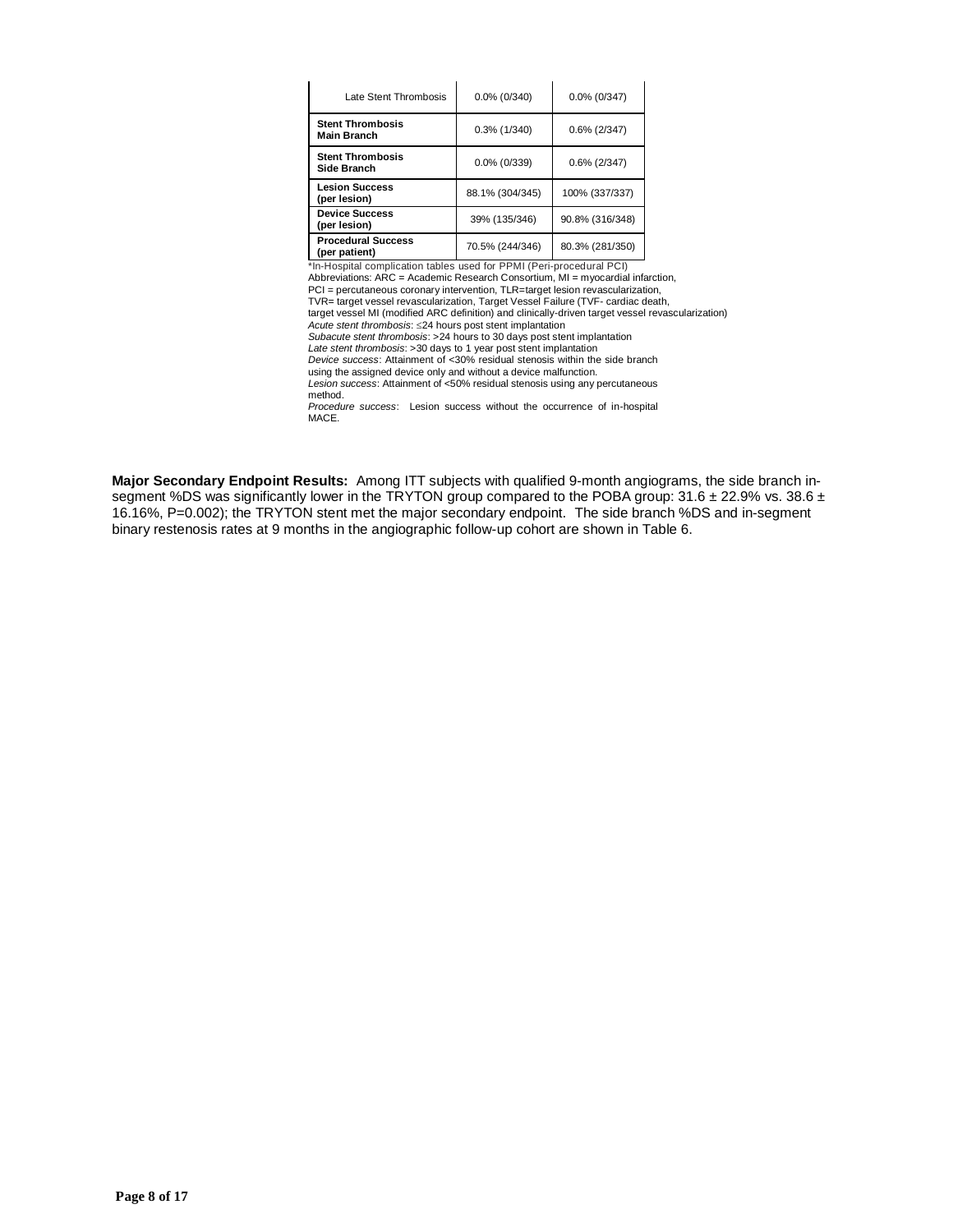| Late Stent Thrombosis                         | $0.0\%$ (0/340) | $0.0\%$ (0/347) |
|-----------------------------------------------|-----------------|-----------------|
| <b>Stent Thrombosis</b><br><b>Main Branch</b> | $0.3\%$ (1/340) | $0.6\%$ (2/347) |
| <b>Stent Thrombosis</b><br>Side Branch        | $0.0\%$ (0/339) | $0.6\%$ (2/347) |
| <b>Lesion Success</b><br>(per lesion)         | 88.1% (304/345) | 100% (337/337)  |
| <b>Device Success</b><br>(per lesion)         | 39% (135/346)   | 90.8% (316/348) |
| <b>Procedural Success</b><br>(per patient)    | 70.5% (244/346) | 80.3% (281/350) |

\*In-Hospital complication tables used for PPMI (Peri-procedural PCI)<br>Abbreviations: ARC = Academic Research Consortium, MI = myocardial infarction,<br>PCI = percutaneous coronary intervention, TLR=target lesion revascularizat

*Acute stent thrombosis*: 24 hours post stent implantation

*Subacute stent thrombosis*: >24 hours to 30 days post stent implantation

*Late stent thrombosis*: >30 days to 1 year post stent implantation

*Device success*: Attainment of <30% residual stenosis within the side branch using the assigned device only and without a device malfunction.

*Lesion success*: Attainment of <50% residual stenosis using any percutaneous method.

*Procedure success*: Lesion success without the occurrence of in-hospital MACE.

**Major Secondary Endpoint Results:** Among ITT subjects with qualified 9-month angiograms, the side branch insegment %DS was significantly lower in the TRYTON group compared to the POBA group:  $31.6 \pm 22.9\%$  vs.  $38.6 \pm$ 16.16%, P=0.002); the TRYTON stent met the major secondary endpoint. The side branch %DS and in-segment binary restenosis rates at 9 months in the angiographic follow-up cohort are shown in Table 6.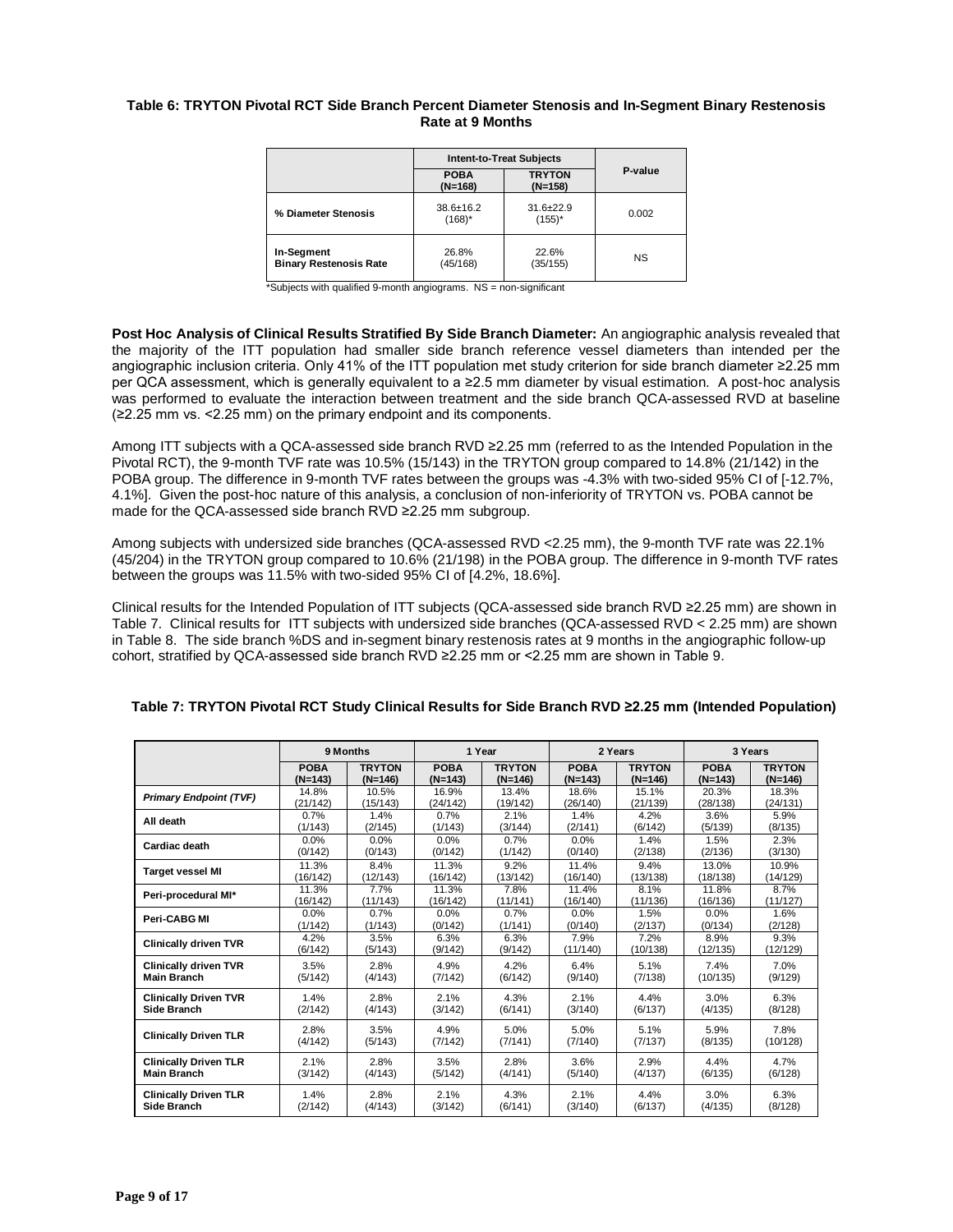## **Table 6: TRYTON Pivotal RCT Side Branch Percent Diameter Stenosis and In-Segment Binary Restenosis Rate at 9 Months**

|                                             | <b>Intent-to-Treat Subjects</b>                        |                              |           |  |
|---------------------------------------------|--------------------------------------------------------|------------------------------|-----------|--|
|                                             | <b>TRYTON</b><br><b>POBA</b><br>$(N=168)$<br>$(N=158)$ |                              | P-value   |  |
| % Diameter Stenosis                         | $38.6 \pm 16.2$<br>$(168)^*$                           | $31.6 \pm 22.9$<br>$(155)^*$ | 0.002     |  |
| In-Segment<br><b>Binary Restenosis Rate</b> | 26.8%<br>(45/168)                                      | 22.6%<br>(35/155)            | <b>NS</b> |  |

\*Subjects with qualified 9-month angiograms. NS = non-significant

**Post Hoc Analysis of Clinical Results Stratified By Side Branch Diameter:** An angiographic analysis revealed that the majority of the ITT population had smaller side branch reference vessel diameters than intended per the angiographic inclusion criteria. Only 41% of the ITT population met study criterion for side branch diameter ≥2.25 mm per QCA assessment, which is generally equivalent to a ≥2.5 mm diameter by visual estimation. A post-hoc analysis was performed to evaluate the interaction between treatment and the side branch QCA-assessed RVD at baseline (≥2.25 mm vs. <2.25 mm) on the primary endpoint and its components.

Among ITT subjects with a QCA-assessed side branch RVD ≥2.25 mm (referred to as the Intended Population in the Pivotal RCT), the 9-month TVF rate was 10.5% (15/143) in the TRYTON group compared to 14.8% (21/142) in the POBA group. The difference in 9-month TVF rates between the groups was -4.3% with two-sided 95% CI of [-12.7%, 4.1%]. Given the post-hoc nature of this analysis, a conclusion of non-inferiority of TRYTON vs. POBA cannot be made for the QCA-assessed side branch RVD ≥2.25 mm subgroup.

Among subjects with undersized side branches (QCA-assessed RVD <2.25 mm), the 9-month TVF rate was 22.1% (45/204) in the TRYTON group compared to 10.6% (21/198) in the POBA group. The difference in 9-month TVF rates between the groups was 11.5% with two-sided 95% CI of [4.2%, 18.6%].

Clinical results for the Intended Population of ITT subjects (QCA-assessed side branch RVD ≥2.25 mm) are shown in Table 7. Clinical results for ITT subjects with undersized side branches (QCA-assessed RVD < 2.25 mm) are shown in Table 8. The side branch %DS and in-segment binary restenosis rates at 9 months in the angiographic follow-up cohort, stratified by QCA-assessed side branch RVD ≥2.25 mm or <2.25 mm are shown in Table 9.

|                               |             | 9 Months      |             | 1 Year        |             | 2 Years       |             | 3 Years       |
|-------------------------------|-------------|---------------|-------------|---------------|-------------|---------------|-------------|---------------|
|                               | <b>POBA</b> | <b>TRYTON</b> | <b>POBA</b> | <b>TRYTON</b> | <b>POBA</b> | <b>TRYTON</b> | <b>POBA</b> | <b>TRYTON</b> |
|                               | $(N=143)$   | $(N=146)$     | $(N=143)$   | $(N=146)$     | $(N=143)$   | $(N=146)$     | $(N=143)$   | $(N=146)$     |
| <b>Primary Endpoint (TVF)</b> | 14.8%       | 10.5%         | 16.9%       | 13.4%         | 18.6%       | 15.1%         | 20.3%       | 18.3%         |
|                               | (21/142)    | (15/143)      | (24/142)    | (19/142)      | (26/140)    | (21/139)      | (28/138)    | (24/131)      |
| All death                     | 0.7%        | 1.4%          | 0.7%        | 2.1%          | 1.4%        | 4.2%          | 3.6%        | 5.9%          |
|                               | (1/143)     | (2/145)       | (1/143)     | (3/144)       | (2/141)     | (6/142)       | (5/139)     | (8/135)       |
| Cardiac death                 | 0.0%        | 0.0%          | 0.0%        | 0.7%          | 0.0%        | 1.4%          | 1.5%        | 2.3%          |
|                               | (0/142)     | (0/143)       | (0/142)     | (1/142)       | (0/140)     | (2/138)       | (2/136)     | (3/130)       |
| <b>Target vessel MI</b>       | 11.3%       | 8.4%          | 11.3%       | 9.2%          | 11.4%       | 9.4%          | 13.0%       | 10.9%         |
|                               | (16/142)    | (12/143)      | (16/142)    | (13/142)      | (16/140)    | (13/138)      | (18/138)    | (14/129)      |
| Peri-procedural MI*           | 11.3%       | 7.7%          | 11.3%       | 7.8%          | 11.4%       | 8.1%          | 11.8%       | 8.7%          |
|                               | (16/142)    | (11/143)      | (16/142)    | (11/141)      | (16/140)    | (11/136)      | (16/136)    | (11/127)      |
| Peri-CABG MI                  | 0.0%        | 0.7%          | 0.0%        | 0.7%          | 0.0%        | 1.5%          | 0.0%        | 1.6%          |
|                               | (1/142)     | (1/143)       | (0/142)     | (1/141)       | (0/140)     | (2/137)       | (0/134)     | (2/128)       |
| <b>Clinically driven TVR</b>  | 4.2%        | 3.5%          | 6.3%        | 6.3%          | 7.9%        | 7.2%          | 8.9%        | 9.3%          |
|                               | (6/142)     | (5/143)       | (9/142)     | (9/142)       | (11/140)    | (10/138)      | (12/135)    | (12/129)      |
| <b>Clinically driven TVR</b>  | 3.5%        | 2.8%          | 4.9%        | 4.2%          | 6.4%        | 5.1%          | 7.4%        | 7.0%          |
| <b>Main Branch</b>            | (5/142)     | (4/143)       | (7/142)     | (6/142)       | (9/140)     | (7/138)       | (10/135)    | (9/129)       |
| <b>Clinically Driven TVR</b>  | 1.4%        | 2.8%          | 2.1%        | 4.3%          | 2.1%        | 4.4%          | 3.0%        | 6.3%          |
| Side Branch                   | (2/142)     | (4/143)       | (3/142)     | (6/141)       | (3/140)     | (6/137)       | (4/135)     | (8/128)       |
| <b>Clinically Driven TLR</b>  | 2.8%        | 3.5%          | 4.9%        | 5.0%          | 5.0%        | 5.1%          | 5.9%        | 7.8%          |
|                               | (4/142)     | (5/143)       | (7/142)     | (7/141)       | (7/140)     | (7/137)       | (8/135)     | (10/128)      |
| <b>Clinically Driven TLR</b>  | 2.1%        | 2.8%          | 3.5%        | 2.8%          | 3.6%        | 2.9%          | 4.4%        | 4.7%          |
| <b>Main Branch</b>            | (3/142)     | (4/143)       | (5/142)     | (4/141)       | (5/140)     | (4/137)       | (6/135)     | (6/128)       |
| <b>Clinically Driven TLR</b>  | 1.4%        | 2.8%          | 2.1%        | 4.3%          | 2.1%        | 4.4%          | 3.0%        | 6.3%          |
| Side Branch                   | (2/142)     | (4/143)       | (3/142)     | (6/141)       | (3/140)     | (6/137)       | (4/135)     | (8/128)       |

# **Table 7: TRYTON Pivotal RCT Study Clinical Results for Side Branch RVD ≥2.25 mm (Intended Population)**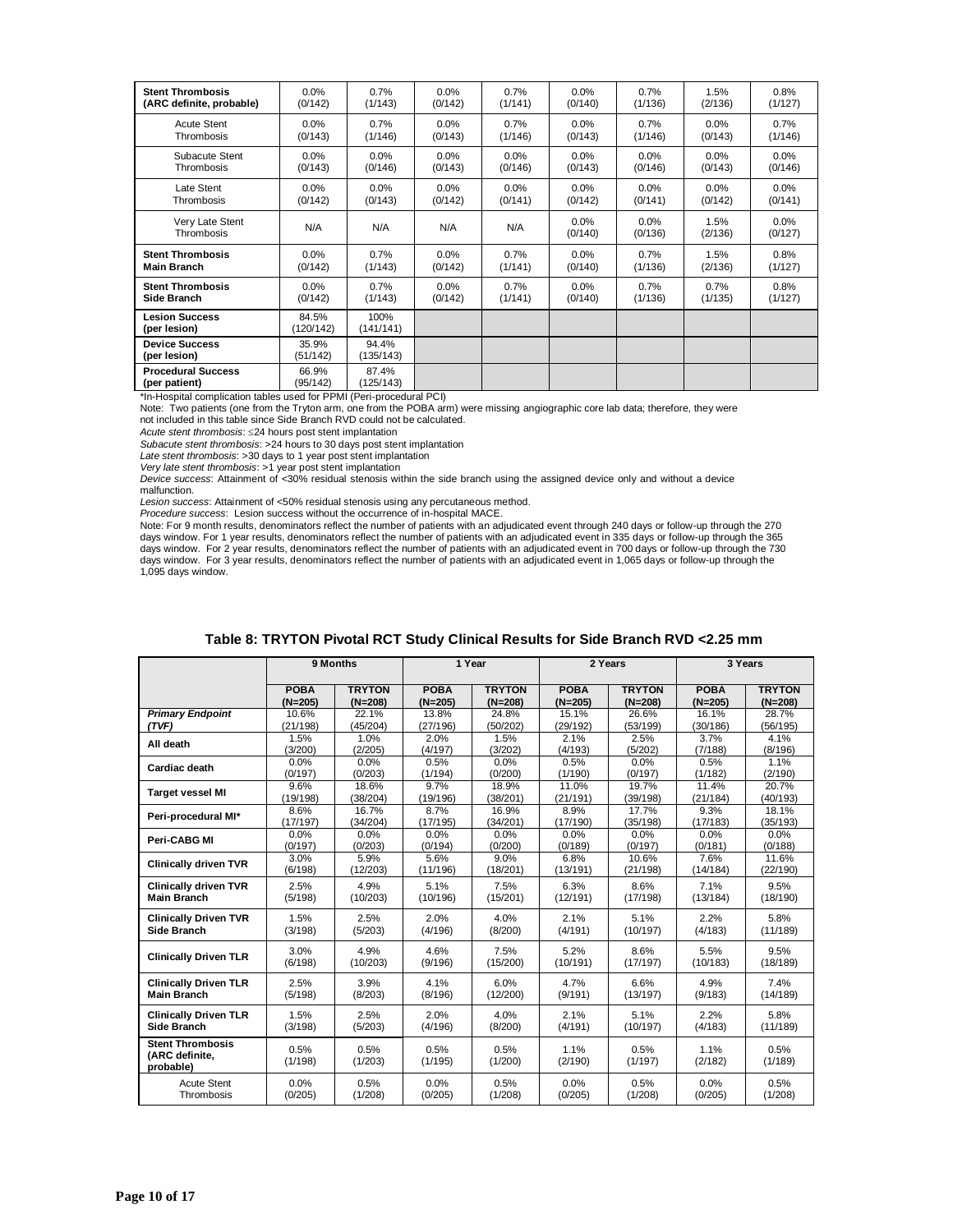| <b>Stent Thrombosis</b>                    | 0.0%               | 0.7%               | 0.0%    | 0.7%    | 0.0%               | 0.7%            | 1.5%            | 0.8%               |
|--------------------------------------------|--------------------|--------------------|---------|---------|--------------------|-----------------|-----------------|--------------------|
| (ARC definite, probable)                   | (0/142)            | (1/143)            | (0/142) | (1/141) | (0/140)            | (1/136)         | (2/136)         | (1/127)            |
| <b>Acute Stent</b>                         | 0.0%               | 0.7%               | 0.0%    | 0.7%    | $0.0\%$            | 0.7%            | 0.0%            | 0.7%               |
| Thrombosis                                 | (0/143)            | (1/146)            | (0/143) | (1/146) | (0/143)            | (1/146)         | (0/143)         | (1/146)            |
| Subacute Stent                             | 0.0%               | $0.0\%$            | 0.0%    | 0.0%    | 0.0%               | 0.0%            | 0.0%            | 0.0%               |
| Thrombosis                                 | (0/143)            | (0/146)            | (0/143) | (0/146) | (0/143)            | (0/146)         | (0/143)         | (0/146)            |
| Late Stent                                 | 0.0%               | $0.0\%$            | 0.0%    | 0.0%    | $0.0\%$            | 0.0%            | 0.0%            | $0.0\%$            |
| Thrombosis                                 | (0/142)            | (0/143)            | (0/142) | (0/141) | (0/142)            | (0/141)         | (0/142)         | (0/141)            |
| Very Late Stent<br>Thrombosis              | N/A                | N/A                | N/A     | N/A     | $0.0\%$<br>(0/140) | 0.0%<br>(0/136) | 1.5%<br>(2/136) | $0.0\%$<br>(0/127) |
| <b>Stent Thrombosis</b>                    | 0.0%               | 0.7%               | 0.0%    | 0.7%    | 0.0%               | 0.7%            | 1.5%            | 0.8%               |
| <b>Main Branch</b>                         | (0/142)            | (1/143)            | (0/142) | (1/141) | (0/140)            | (1/136)         | (2/136)         | (1/127)            |
| <b>Stent Thrombosis</b>                    | 0.0%               | 0.7%               | 0.0%    | 0.7%    | $0.0\%$            | 0.7%            | 0.7%            | 0.8%               |
| Side Branch                                | (0/142)            | (1/143)            | (0/142) | (1/141) | (0/140)            | (1/136)         | (1/135)         | (1/127)            |
| <b>Lesion Success</b><br>(per lesion)      | 84.5%<br>(120/142) | 100%<br>(141/141)  |         |         |                    |                 |                 |                    |
| <b>Device Success</b><br>(per lesion)      | 35.9%<br>(51/142)  | 94.4%<br>(135/143) |         |         |                    |                 |                 |                    |
| <b>Procedural Success</b><br>(per patient) | 66.9%<br>(95/142)  | 87.4%<br>(125/143) |         |         |                    |                 |                 |                    |

\*In-Hospital complication tables used for PPMI (Peri-procedural PCI)

Note: Two patients (one from the Tryton arm, one from the POBA arm) were missing angiographic core lab data; therefore, they were not included in this table since Side Branch RVD could not be calculated.

*Acute stent thrombosis*: 24 hours post stent implantation

*Subacute stent thrombosis*: >24 hours to 30 days post stent implantation

*Late stent thrombosis*: >30 days to 1 year post stent implantation *Very late stent thrombosis*: >1 year post stent implantation

*Device success*: Attainment of <30% residual stenosis within the side branch using the assigned device only and without a device malfunction.

*Lesion success*: Attainment of <50% residual stenosis using any percutaneous method.

*Procedure success*: Lesion success without the occurrence of in-hospital MACE.

Note: For 9 month results, denominators reflect the number of patients with an adjudicated event through 240 days or follow-up through the 270 days window. For 1 year results, denominators reflect the number of patients with an adjudicated event in 335 days or follow-up through the 365 days window. For 2 year results, denominators reflect the number of patients with an adjudicated event in 700 days or follow-up through the 730<br>days window. For 3 year results, denominators reflect the number of patients w 1,095 days window.

|                                                        | 9 Months        |                 |                 | 1 Year          |                 | 2 Years         | 3 Years         |                 |
|--------------------------------------------------------|-----------------|-----------------|-----------------|-----------------|-----------------|-----------------|-----------------|-----------------|
|                                                        | <b>POBA</b>     | <b>TRYTON</b>   | <b>POBA</b>     | <b>TRYTON</b>   | <b>POBA</b>     | <b>TRYTON</b>   | <b>POBA</b>     | <b>TRYTON</b>   |
|                                                        | $(N=205)$       | $(N=208)$       | $(N=205)$       | $(N=208)$       | $(N=205)$       | $(N=208)$       | $(N=205)$       | $(N=208)$       |
| <b>Primary Endpoint</b>                                | 10.6%           | 22.1%           | 13.8%           | 24.8%           | 15.1%           | 26.6%           | 16.1%           | 28.7%           |
| (TVF)                                                  | (21/198)        | (45/204)        | (27/196)        | (50/202)        | (29/192)        | (53/199)        | (30/186)        | (56/195)        |
| All death                                              | 1.5%            | 1.0%            | 2.0%            | 1.5%            | 2.1%            | 2.5%            | 3.7%            | 4.1%            |
|                                                        | (3/200)         | (2/205)         | (4/197)         | (3/202)         | (4/193)         | (5/202)         | (7/188)         | (8/196)         |
| Cardiac death                                          | 0.0%            | 0.0%            | 0.5%            | 0.0%            | 0.5%            | 0.0%            | 0.5%            | 1.1%            |
|                                                        | (0/197)         | (0/203)         | (1/194)         | (0/200)         | (1/190)         | (0/197)         | (1/182)         | (2/190)         |
| <b>Target vessel MI</b>                                | 9.6%            | 18.6%           | 9.7%            | 18.9%           | 11.0%           | 19.7%           | 11.4%           | 20.7%           |
|                                                        | (19/198)        | (38/204)        | (19/196)        | (38/201)        | (21/191)        | (39/198)        | (21/184)        | (40/193)        |
| Peri-procedural MI*                                    | 8.6%            | 16.7%           | 8.7%            | 16.9%           | 8.9%            | 17.7%           | 9.3%            | 18.1%           |
|                                                        | (17/197)        | (34/204)        | (17/195)        | (34/201)        | (17/190)        | (35/198)        | (17/183)        | (35/193)        |
| Peri-CABG MI                                           | 0.0%            | 0.0%            | 0.0%            | 0.0%            | 0.0%            | 0.0%            | 0.0%            | 0.0%            |
|                                                        | (0/197)         | (0/203)         | (0/194)         | (0/200)         | (0/189)         | (0/197)         | (0/181)         | (0/188)         |
| <b>Clinically driven TVR</b>                           | 3.0%            | 5.9%            | 5.6%            | 9.0%            | 6.8%            | 10.6%           | 7.6%            | 11.6%           |
|                                                        | (6/198)         | (12/203)        | (11/196)        | (18/201)        | (13/191)        | (21/198)        | (14/184)        | (22/190)        |
| <b>Clinically driven TVR</b>                           | 2.5%            | 4.9%            | 5.1%            | 7.5%            | 6.3%            | 8.6%            | 7.1%            | 9.5%            |
| <b>Main Branch</b>                                     | (5/198)         | (10/203)        | (10/196)        | (15/201)        | (12/191)        | (17/198)        | (13/184)        | (18/190)        |
| <b>Clinically Driven TVR</b>                           | 1.5%            | 2.5%            | 2.0%            | 4.0%            | 2.1%            | 5.1%            | 2.2%            | 5.8%            |
| Side Branch                                            | (3/198)         | (5/203)         | (4/196)         | (8/200)         | (4/191)         | (10/197)        | (4/183)         | (11/189)        |
| <b>Clinically Driven TLR</b>                           | 3.0%            | 4.9%            | 4.6%            | 7.5%            | 5.2%            | 8.6%            | 5.5%            | 9.5%            |
|                                                        | (6/198)         | (10/203)        | (9/196)         | (15/200)        | (10/191)        | (17/197)        | (10/183)        | (18/189)        |
| <b>Clinically Driven TLR</b>                           | 2.5%            | 3.9%            | 4.1%            | 6.0%            | 4.7%            | 6.6%            | 4.9%            | 7.4%            |
| <b>Main Branch</b>                                     | (5/198)         | (8/203)         | (8/196)         | (12/200)        | (9/191)         | (13/197)        | (9/183)         | (14/189)        |
| <b>Clinically Driven TLR</b>                           | 1.5%            | 2.5%            | 2.0%            | 4.0%            | 2.1%            | 5.1%            | 2.2%            | 5.8%            |
| Side Branch                                            | (3/198)         | (5/203)         | (4/196)         | (8/200)         | (4/191)         | (10/197)        | (4/183)         | (11/189)        |
| <b>Stent Thrombosis</b><br>(ARC definite.<br>probable) | 0.5%<br>(1/198) | 0.5%<br>(1/203) | 0.5%<br>(1/195) | 0.5%<br>(1/200) | 1.1%<br>(2/190) | 0.5%<br>(1/197) | 1.1%<br>(2/182) | 0.5%<br>(1/189) |
| <b>Acute Stent</b>                                     | 0.0%            | 0.5%            | 0.0%            | 0.5%            | 0.0%            | 0.5%            | 0.0%            | 0.5%            |
| Thrombosis                                             | (0/205)         | (1/208)         | (0/205)         | (1/208)         | (0/205)         | (1/208)         | (0/205)         | (1/208)         |

| Table 8: TRYTON Pivotal RCT Study Clinical Results for Side Branch RVD <2.25 mm |
|---------------------------------------------------------------------------------|
|                                                                                 |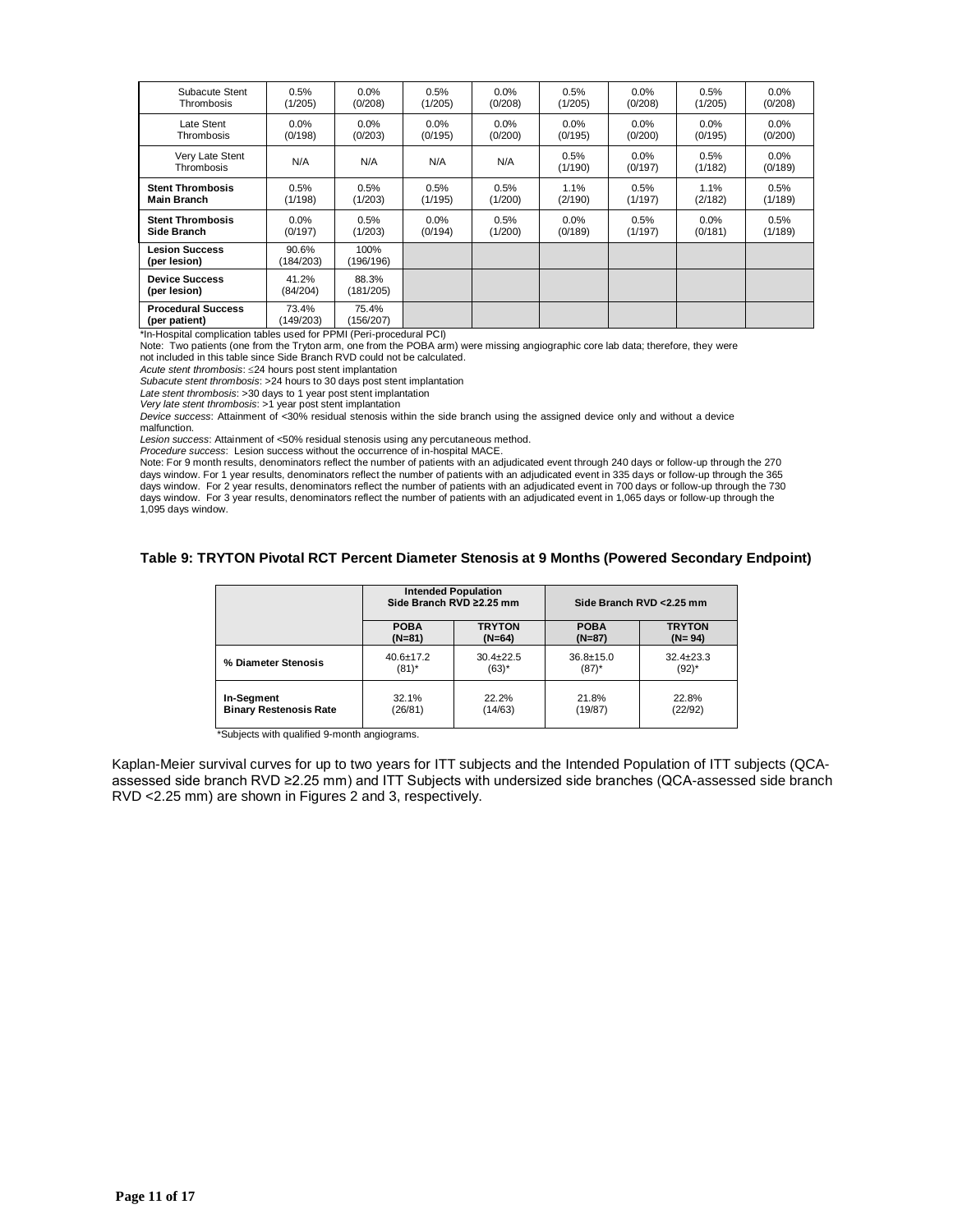| Subacute Stent                             | 0.5%               | 0.0%               | 0.5%    | 0.0%    | 0.5%            | 0.0%               | 0.5%            | $0.0\%$            |
|--------------------------------------------|--------------------|--------------------|---------|---------|-----------------|--------------------|-----------------|--------------------|
| <b>Thrombosis</b>                          | (1/205)            | (0/208)            | (1/205) | (0/208) | (1/205)         | (0/208)            | (1/205)         | (0/208)            |
| Late Stent                                 | $0.0\%$            | $0.0\%$            | $0.0\%$ | $0.0\%$ | 0.0%            | $0.0\%$            | $0.0\%$         | $0.0\%$            |
| Thrombosis                                 | (0/198)            | (0/203)            | (0/195) | (0/200) | (0/195)         | (0/200)            | (0/195)         | (0/200)            |
| Very Late Stent<br>Thrombosis              | N/A                | N/A                | N/A     | N/A     | 0.5%<br>(1/190) | $0.0\%$<br>(0/197) | 0.5%<br>(1/182) | $0.0\%$<br>(0/189) |
| <b>Stent Thrombosis</b>                    | 0.5%               | 0.5%               | 0.5%    | 0.5%    | 1.1%            | 0.5%               | 1.1%            | 0.5%               |
| Main Branch                                | (1/198)            | (1/203)            | (1/195) | (1/200) | (2/190)         | (1/197)            | (2/182)         | (1/189)            |
| <b>Stent Thrombosis</b>                    | 0.0%               | 0.5%               | 0.0%    | 0.5%    | 0.0%            | 0.5%               | $0.0\%$         | 0.5%               |
| Side Branch                                | (0/197)            | (1/203)            | (0/194) | (1/200) | (0/189)         | (1/197)            | (0/181)         | (1/189)            |
| <b>Lesion Success</b><br>(per lesion)      | 90.6%<br>(184/203) | 100%<br>(196/196)  |         |         |                 |                    |                 |                    |
| <b>Device Success</b><br>(per lesion)      | 41.2%<br>(84/204)  | 88.3%<br>(181/205) |         |         |                 |                    |                 |                    |
| <b>Procedural Success</b><br>(per patient) | 73.4%<br>(149/203) | 75.4%<br>(156/207) |         |         |                 |                    |                 |                    |

\*In-Hospital complication tables used for PPMI (Peri-procedural PCI)

Note: Two patients (one from the Tryton arm, one from the POBA arm) were missing angiographic core lab data; therefore, they were not included in this table since Side Branch RVD could not be calculated.

*Acute stent thrombosis*: 24 hours post stent implantation

*Subacute stent thrombosis*: >24 hours to 30 days post stent implantation

*Late stent thrombosis*: >30 days to 1 year post stent implantation

*Very late stent thrombosis*: >1 year post stent implantation

*Device success*: Attainment of <30% residual stenosis within the side branch using the assigned device only and without a device malfunction.

*Lesion success*: Attainment of <50% residual stenosis using any percutaneous method.

*Procedure success*: Lesion success without the occurrence of in-hospital MACE.

Note: For 9 month results, denominators reflect the number of patients with an adjudicated event through 240 days or follow-up through the 270 days window. For 1 year results, denominators reflect the number of patients with an adjudicated event in 335 days or follow-up through the 365<br>days window. For 2 year results, denominators reflect the number of patients w 1,095 days window.

#### **Table 9: TRYTON Pivotal RCT Percent Diameter Stenosis at 9 Months (Powered Secondary Endpoint)**

|                               | <b>Intended Population</b><br>Side Branch RVD ≥2.25 mm |                 | Side Branch RVD < 2.25 mm |                 |  |
|-------------------------------|--------------------------------------------------------|-----------------|---------------------------|-----------------|--|
|                               | <b>POBA</b>                                            | <b>TRYTON</b>   | <b>POBA</b>               | <b>TRYTON</b>   |  |
|                               | $(N=81)$                                               | $(N=64)$        | $(N=87)$                  | $(N = 94)$      |  |
| % Diameter Stenosis           | $40.6 \pm 17.2$                                        | $30.4 \pm 22.5$ | $36.8 + 15.0$             | $32.4 \pm 23.3$ |  |
|                               | $(81)^*$                                               | $(63)^*$        | $(87)^*$                  | $(92)^{*}$      |  |
| In-Segment                    | 32.1%                                                  | 22.2%           | 21.8%                     | 22.8%           |  |
| <b>Binary Restenosis Rate</b> | (26/81)                                                | (14/63)         | (19/87)                   | (22/92)         |  |

\*Subjects with qualified 9-month angiograms.

Kaplan-Meier survival curves for up to two years for ITT subjects and the Intended Population of ITT subjects (QCAassessed side branch RVD ≥2.25 mm) and ITT Subjects with undersized side branches (QCA-assessed side branch RVD <2.25 mm) are shown in Figures 2 and 3, respectively.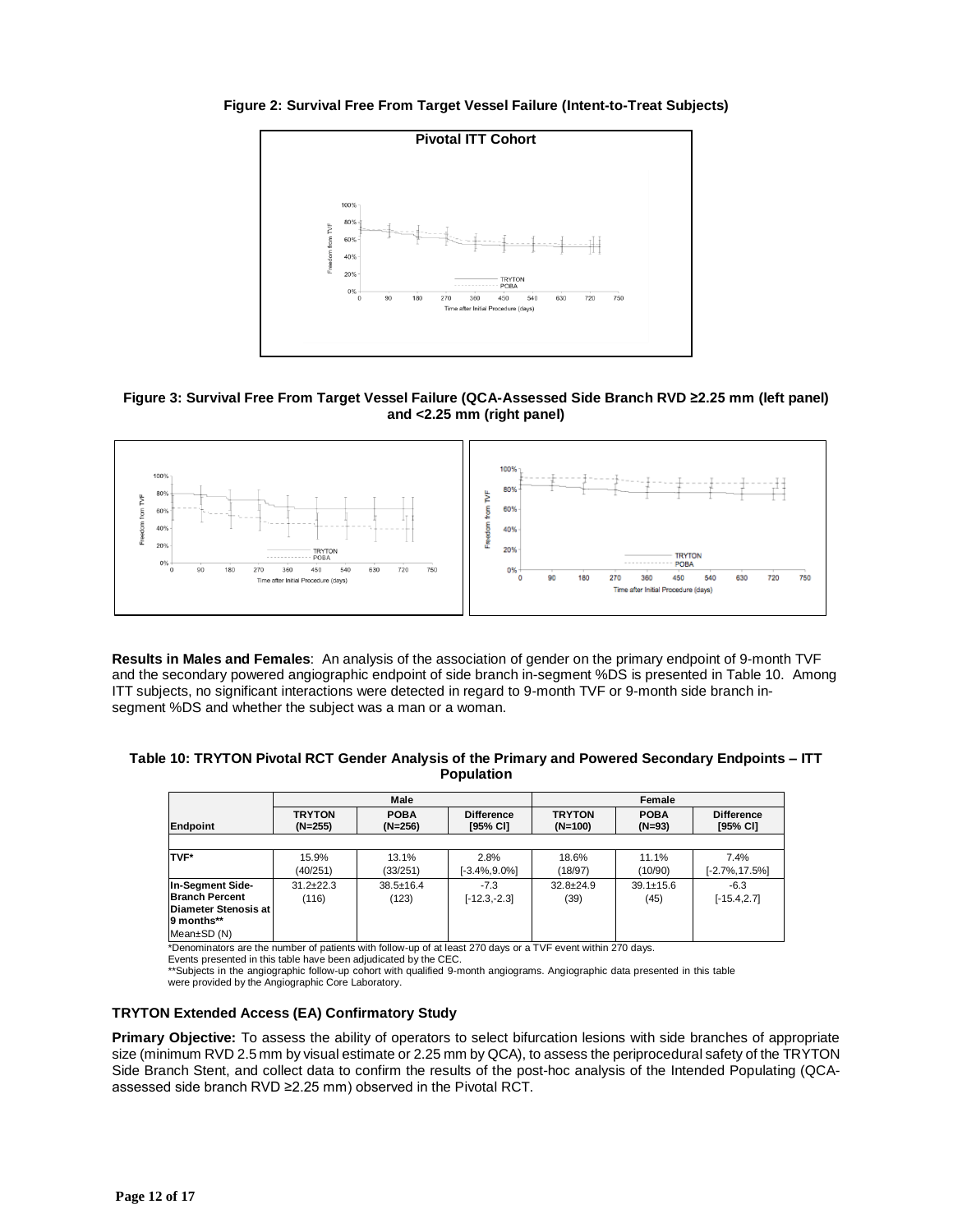**Figure 2: Survival Free From Target Vessel Failure (Intent-to-Treat Subjects)**



# **Figure 3: Survival Free From Target Vessel Failure (QCA-Assessed Side Branch RVD ≥2.25 mm (left panel) and <2.25 mm (right panel)**



**Results in Males and Females**: An analysis of the association of gender on the primary endpoint of 9-month TVF and the secondary powered angiographic endpoint of side branch in-segment %DS is presented in Table 10. Among ITT subjects, no significant interactions were detected in regard to 9-month TVF or 9-month side branch insegment %DS and whether the subject was a man or a woman.

| Table 10: TRYTON Pivotal RCT Gender Analysis of the Primary and Powered Secondary Endpoints – ITT<br><b>Population</b> |      |        |  |  |
|------------------------------------------------------------------------------------------------------------------------|------|--------|--|--|
|                                                                                                                        | Male | Female |  |  |

|                                                                                                  | Male                       |                          |                               | Female                     |                         |                               |
|--------------------------------------------------------------------------------------------------|----------------------------|--------------------------|-------------------------------|----------------------------|-------------------------|-------------------------------|
| Endpoint                                                                                         | <b>TRYTON</b><br>$(N=255)$ | <b>POBA</b><br>$(N=256)$ | <b>Difference</b><br>[95% CI] | <b>TRYTON</b><br>$(N=100)$ | <b>POBA</b><br>$(N=93)$ | <b>Difference</b><br>[95% CI] |
|                                                                                                  |                            |                          |                               |                            |                         |                               |
| TVF*                                                                                             | 15.9%<br>(40/251)          | 13.1%<br>(33/251)        | 2.8%<br>$[-3.4\%, 9.0\%]$     | 18.6%<br>(18/97)           | 11.1%<br>(10/90)        | 7.4%<br>$[-2.7\%, 17.5\%]$    |
| In-Segment Side-<br><b>Branch Percent</b><br>Diameter Stenosis at I<br>9 months**<br>Mean±SD (N) | $31.2 + 22.3$<br>(116)     | $38.5 \pm 16.4$<br>(123) | $-7.3$<br>$[-12.3,-2.3]$      | $32.8 + 24.9$<br>(39)      | $39.1 \pm 15.6$<br>(45) | $-6.3$<br>$[-15.4, 2.7]$      |

\*Denominators are the number of patients with follow-up of at least 270 days or a TVF event within 270 days.

Events presented in this table have been adjudicated by the CEC. \*\*Subjects in the angiographic follow-up cohort with qualified 9-month angiograms. Angiographic data presented in this table were provided by the Angiographic Core Laboratory.

# **TRYTON Extended Access (EA) Confirmatory Study**

**Primary Objective:** To assess the ability of operators to select bifurcation lesions with side branches of appropriate size (minimum RVD 2.5 mm by visual estimate or 2.25 mm by QCA), to assess the periprocedural safety of the TRYTON Side Branch Stent, and collect data to confirm the results of the post-hoc analysis of the Intended Populating (QCAassessed side branch RVD ≥2.25 mm) observed in the Pivotal RCT.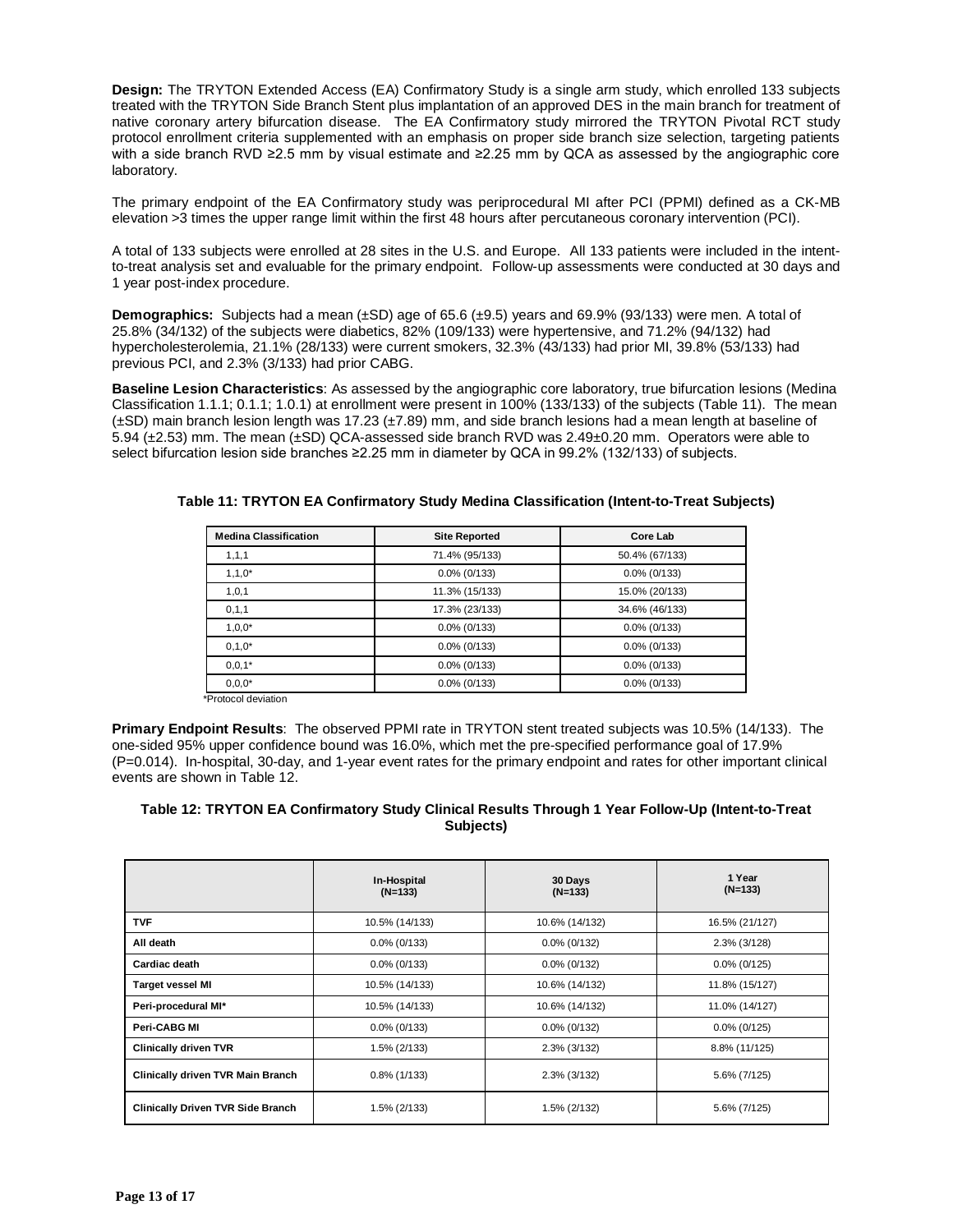**Design:** The TRYTON Extended Access (EA) Confirmatory Study is a single arm study, which enrolled 133 subjects treated with the TRYTON Side Branch Stent plus implantation of an approved DES in the main branch for treatment of native coronary artery bifurcation disease. The EA Confirmatory study mirrored the TRYTON Pivotal RCT study protocol enrollment criteria supplemented with an emphasis on proper side branch size selection, targeting patients with a side branch RVD ≥2.5 mm by visual estimate and ≥2.25 mm by QCA as assessed by the angiographic core laboratory.

The primary endpoint of the EA Confirmatory study was periprocedural MI after PCI (PPMI) defined as a CK-MB elevation >3 times the upper range limit within the first 48 hours after percutaneous coronary intervention (PCI).

A total of 133 subjects were enrolled at 28 sites in the U.S. and Europe. All 133 patients were included in the intentto-treat analysis set and evaluable for the primary endpoint. Follow-up assessments were conducted at 30 days and 1 year post-index procedure.

**Demographics:** Subjects had a mean (±SD) age of 65.6 (±9.5) years and 69.9% (93/133) were men. A total of 25.8% (34/132) of the subjects were diabetics, 82% (109/133) were hypertensive, and 71.2% (94/132) had hypercholesterolemia, 21.1% (28/133) were current smokers, 32.3% (43/133) had prior MI, 39.8% (53/133) had previous PCI, and 2.3% (3/133) had prior CABG.

**Baseline Lesion Characteristics**: As assessed by the angiographic core laboratory, true bifurcation lesions (Medina Classification 1.1.1; 0.1.1; 1.0.1) at enrollment were present in 100% (133/133) of the subjects (Table 11). The mean (±SD) main branch lesion length was 17.23 (±7.89) mm, and side branch lesions had a mean length at baseline of 5.94 (±2.53) mm. The mean (±SD) QCA-assessed side branch RVD was 2.49±0.20 mm. Operators were able to select bifurcation lesion side branches ≥2.25 mm in diameter by QCA in 99.2% (132/133) of subjects.

| 71.4% (95/133)  | 50.4% (67/133)  |
|-----------------|-----------------|
|                 |                 |
| $0.0\%$ (0/133) | $0.0\%$ (0/133) |
| 11.3% (15/133)  | 15.0% (20/133)  |
| 17.3% (23/133)  | 34.6% (46/133)  |
| $0.0\%$ (0/133) | $0.0\%$ (0/133) |
| $0.0\%$ (0/133) | $0.0\%$ (0/133) |
| $0.0\%$ (0/133) | $0.0\%$ (0/133) |
| $0.0\%$ (0/133) | $0.0\%$ (0/133) |
|                 |                 |

## **Table 11: TRYTON EA Confirmatory Study Medina Classification (Intent-to-Treat Subjects)**

**Primary Endpoint Results**: The observed PPMI rate in TRYTON stent treated subjects was 10.5% (14/133). The one-sided 95% upper confidence bound was 16.0%, which met the pre-specified performance goal of 17.9% (P=0.014). In-hospital, 30-day, and 1-year event rates for the primary endpoint and rates for other important clinical events are shown in Table 12.

# **Table 12: TRYTON EA Confirmatory Study Clinical Results Through 1 Year Follow-Up (Intent-to-Treat Subjects)**

|                                          | In-Hospital<br>$(N=133)$ | 30 Days<br>$(N=133)$ | 1 Year<br>$(N=133)$ |
|------------------------------------------|--------------------------|----------------------|---------------------|
| <b>TVF</b>                               | 10.5% (14/133)           | 10.6% (14/132)       | 16.5% (21/127)      |
| All death                                | $0.0\%$ (0/133)          | $0.0\%$ (0/132)      | 2.3% (3/128)        |
| Cardiac death                            | $0.0\%$ (0/133)          | $0.0\%$ (0/132)      | $0.0\%$ (0/125)     |
| <b>Target vessel MI</b>                  | 10.5% (14/133)           | 10.6% (14/132)       | 11.8% (15/127)      |
| Peri-procedural MI*                      | 10.5% (14/133)           | 10.6% (14/132)       | 11.0% (14/127)      |
| Peri-CABG MI                             | $0.0\%$ (0/133)          | $0.0\%$ (0/132)      | $0.0\%$ (0/125)     |
| <b>Clinically driven TVR</b>             | 1.5% (2/133)             | 2.3% (3/132)         | 8.8% (11/125)       |
| <b>Clinically driven TVR Main Branch</b> | $0.8\%$ (1/133)          | $2.3\%$ (3/132)      | 5.6% (7/125)        |
| <b>Clinically Driven TVR Side Branch</b> | 1.5% (2/133)             | 1.5% (2/132)         | 5.6% (7/125)        |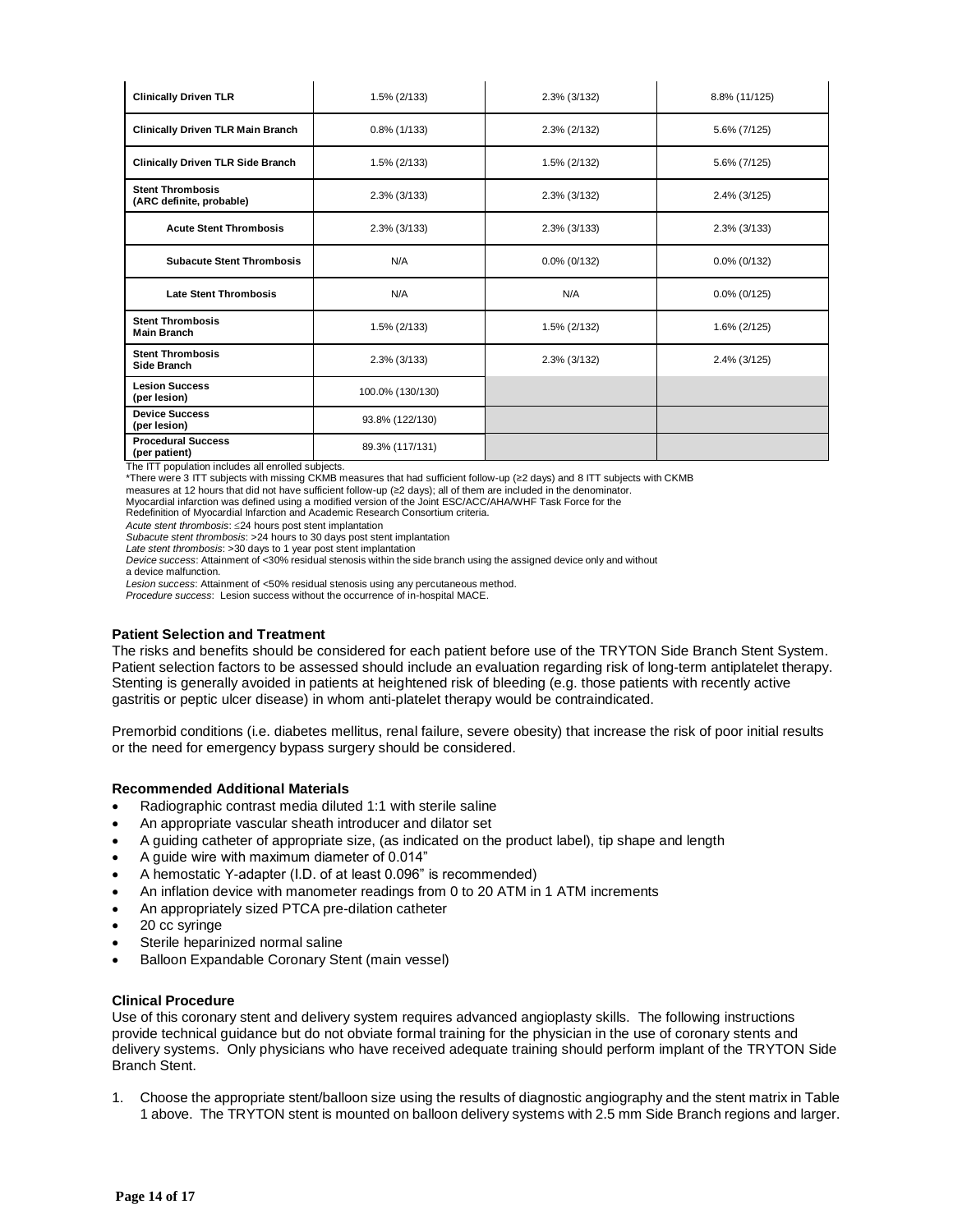| <b>Clinically Driven TLR</b>                        | 1.5% (2/133)     | 2.3% (3/132)    | 8.8% (11/125)   |
|-----------------------------------------------------|------------------|-----------------|-----------------|
| <b>Clinically Driven TLR Main Branch</b>            | $0.8\%$ (1/133)  | 2.3% (2/132)    | 5.6% (7/125)    |
| <b>Clinically Driven TLR Side Branch</b>            | 1.5% (2/133)     | 1.5% (2/132)    | 5.6% (7/125)    |
| <b>Stent Thrombosis</b><br>(ARC definite, probable) | 2.3% (3/133)     | 2.3% (3/132)    | 2.4% (3/125)    |
| <b>Acute Stent Thrombosis</b>                       | 2.3% (3/133)     | 2.3% (3/133)    | 2.3% (3/133)    |
| <b>Subacute Stent Thrombosis</b>                    | N/A              | $0.0\%$ (0/132) | $0.0\%$ (0/132) |
| <b>Late Stent Thrombosis</b>                        | N/A              | N/A             | $0.0\%$ (0/125) |
| <b>Stent Thrombosis</b><br><b>Main Branch</b>       | 1.5% (2/133)     | 1.5% (2/132)    | 1.6% (2/125)    |
| <b>Stent Thrombosis</b><br>Side Branch              | 2.3% (3/133)     | 2.3% (3/132)    | 2.4% (3/125)    |
| <b>Lesion Success</b><br>(per lesion)               | 100.0% (130/130) |                 |                 |
| <b>Device Success</b><br>(per lesion)               | 93.8% (122/130)  |                 |                 |
| <b>Procedural Success</b><br>(per patient)          | 89.3% (117/131)  |                 |                 |

The ITT population includes all enrolled subjects.

\*There were 3 ITT subjects with missing CKMB measures that had sufficient follow-up (≥2 days) and 8 ITT subjects with CKMB

measures at 12 hours that did not have sufficient follow-up (≥2 days); all of them are included in the denominator.

Myocardial infarction was defined using a modified version of the Joint ESC/ACC/AHA/WHF Task Force for the

Redefinition of Myocardial Infarction and Academic Research Consortium criteria.

*Acute stent thrombosis*: 24 hours post stent implantation

*Subacute stent thrombosis*: >24 hours to 30 days post stent implantation *Late stent thrombosis*: >30 days to 1 year post stent implantation

*Device success*: Attainment of <30% residual stenosis within the side branch using the assigned device only and without

a device malfunction.

*Lesion success*: Attainment of <50% residual stenosis using any percutaneous method.

*Procedure success*: Lesion success without the occurrence of in-hospital MACE.

#### **Patient Selection and Treatment**

The risks and benefits should be considered for each patient before use of the TRYTON Side Branch Stent System. Patient selection factors to be assessed should include an evaluation regarding risk of long-term antiplatelet therapy. Stenting is generally avoided in patients at heightened risk of bleeding (e.g. those patients with recently active gastritis or peptic ulcer disease) in whom anti-platelet therapy would be contraindicated.

Premorbid conditions (i.e. diabetes mellitus, renal failure, severe obesity) that increase the risk of poor initial results or the need for emergency bypass surgery should be considered.

#### **Recommended Additional Materials**

- Radiographic contrast media diluted 1:1 with sterile saline
- An appropriate vascular sheath introducer and dilator set
- A guiding catheter of appropriate size, (as indicated on the product label), tip shape and length
- A guide wire with maximum diameter of 0.014"
- A hemostatic Y-adapter (I.D. of at least 0.096" is recommended)
- An inflation device with manometer readings from 0 to 20 ATM in 1 ATM increments
- An appropriately sized PTCA pre-dilation catheter
- 20 cc syringe
- Sterile heparinized normal saline
- Balloon Expandable Coronary Stent (main vessel)

#### **Clinical Procedure**

Use of this coronary stent and delivery system requires advanced angioplasty skills. The following instructions provide technical guidance but do not obviate formal training for the physician in the use of coronary stents and delivery systems. Only physicians who have received adequate training should perform implant of the TRYTON Side Branch Stent.

1. Choose the appropriate stent/balloon size using the results of diagnostic angiography and the stent matrix in Table 1 above. The TRYTON stent is mounted on balloon delivery systems with 2.5 mm Side Branch regions and larger.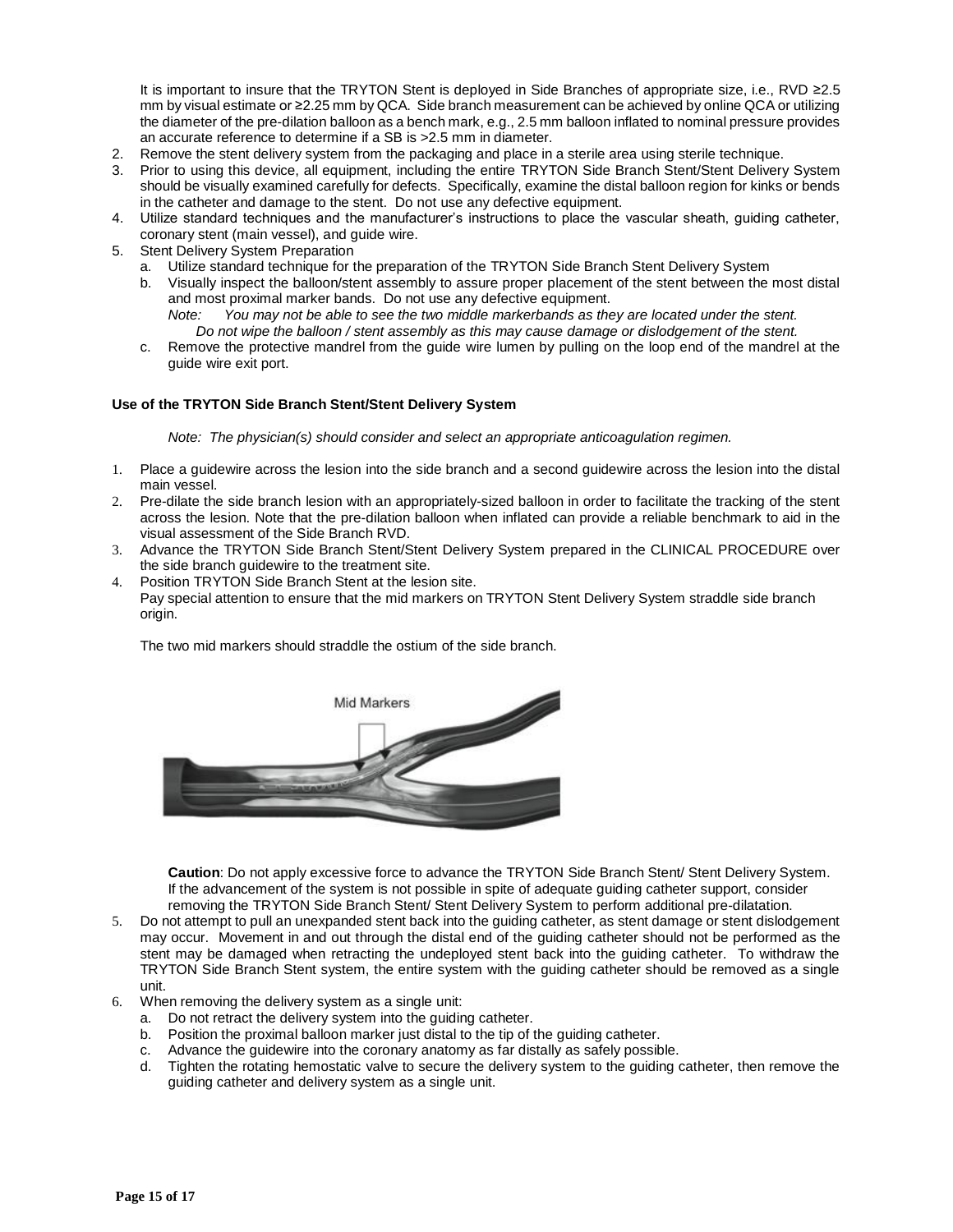It is important to insure that the TRYTON Stent is deployed in Side Branches of appropriate size, i.e., RVD ≥2.5 mm by visual estimate or ≥2.25 mm by QCA. Side branch measurement can be achieved by online QCA or utilizing the diameter of the pre-dilation balloon as a bench mark, e.g., 2.5 mm balloon inflated to nominal pressure provides an accurate reference to determine if a SB is >2.5 mm in diameter.

- 2. Remove the stent delivery system from the packaging and place in a sterile area using sterile technique.
- 3. Prior to using this device, all equipment, including the entire TRYTON Side Branch Stent/Stent Delivery System should be visually examined carefully for defects. Specifically, examine the distal balloon region for kinks or bends in the catheter and damage to the stent. Do not use any defective equipment.
- 4. Utilize standard techniques and the manufacturer's instructions to place the vascular sheath, guiding catheter, coronary stent (main vessel), and guide wire.
- 5. Stent Delivery System Preparation
	- a. Utilize standard technique for the preparation of the TRYTON Side Branch Stent Delivery System
	- b. Visually inspect the balloon/stent assembly to assure proper placement of the stent between the most distal and most proximal marker bands. Do not use any defective equipment.
		- *Note: You may not be able to see the two middle markerbands as they are located under the stent. Do not wipe the balloon / stent assembly as this may cause damage or dislodgement of the stent.*
	- c. Remove the protective mandrel from the guide wire lumen by pulling on the loop end of the mandrel at the guide wire exit port.

## **Use of the TRYTON Side Branch Stent/Stent Delivery System**

*Note: The physician(s) should consider and select an appropriate anticoagulation regimen.*

- 1. Place a guidewire across the lesion into the side branch and a second guidewire across the lesion into the distal main vessel.
- 2. Pre-dilate the side branch lesion with an appropriately-sized balloon in order to facilitate the tracking of the stent across the lesion. Note that the pre-dilation balloon when inflated can provide a reliable benchmark to aid in the visual assessment of the Side Branch RVD.
- 3. Advance the TRYTON Side Branch Stent/Stent Delivery System prepared in the CLINICAL PROCEDURE over the side branch guidewire to the treatment site.
- 4. Position TRYTON Side Branch Stent at the lesion site. Pay special attention to ensure that the mid markers on TRYTON Stent Delivery System straddle side branch origin.

The two mid markers should straddle the ostium of the side branch.



**Caution**: Do not apply excessive force to advance the TRYTON Side Branch Stent/ Stent Delivery System. If the advancement of the system is not possible in spite of adequate guiding catheter support, consider removing the TRYTON Side Branch Stent/ Stent Delivery System to perform additional pre-dilatation.

- 5. Do not attempt to pull an unexpanded stent back into the guiding catheter, as stent damage or stent dislodgement may occur. Movement in and out through the distal end of the guiding catheter should not be performed as the stent may be damaged when retracting the undeployed stent back into the guiding catheter. To withdraw the TRYTON Side Branch Stent system, the entire system with the guiding catheter should be removed as a single unit.
- 6. When removing the delivery system as a single unit:
	- a. Do not retract the delivery system into the guiding catheter.
	- b. Position the proximal balloon marker just distal to the tip of the guiding catheter.
	- c. Advance the guidewire into the coronary anatomy as far distally as safely possible.
	- d. Tighten the rotating hemostatic valve to secure the delivery system to the guiding catheter, then remove the guiding catheter and delivery system as a single unit.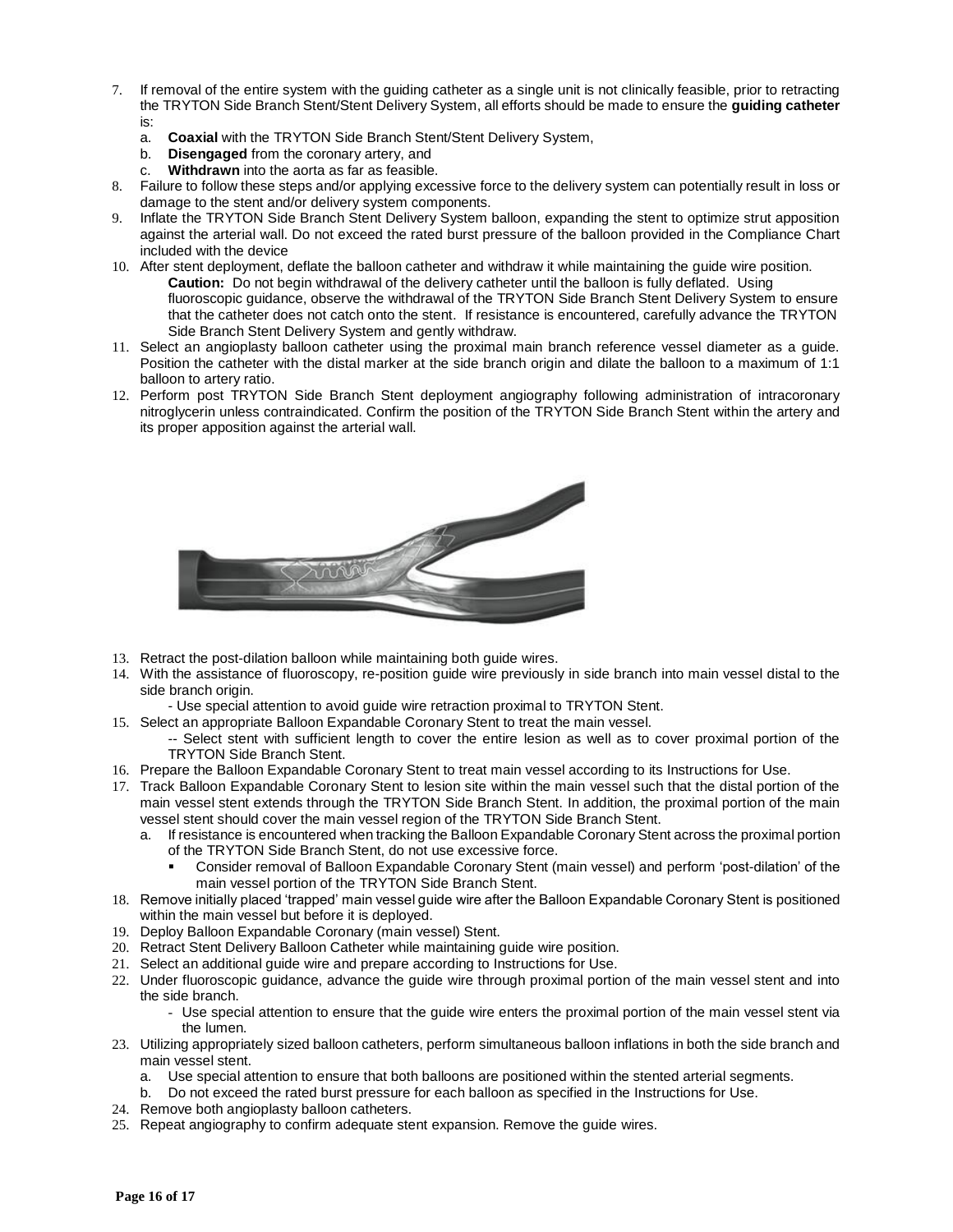- 7. If removal of the entire system with the guiding catheter as a single unit is not clinically feasible, prior to retracting the TRYTON Side Branch Stent/Stent Delivery System, all efforts should be made to ensure the **guiding catheter** is:
	- a. **Coaxial** with the TRYTON Side Branch Stent/Stent Delivery System,
	- b. **Disengaged** from the coronary artery, and
	- c. **Withdrawn** into the aorta as far as feasible.
- 8. Failure to follow these steps and/or applying excessive force to the delivery system can potentially result in loss or damage to the stent and/or delivery system components.
- 9. Inflate the TRYTON Side Branch Stent Delivery System balloon, expanding the stent to optimize strut apposition against the arterial wall. Do not exceed the rated burst pressure of the balloon provided in the Compliance Chart included with the device
- 10. After stent deployment, deflate the balloon catheter and withdraw it while maintaining the guide wire position. **Caution:** Do not begin withdrawal of the delivery catheter until the balloon is fully deflated. Using fluoroscopic guidance, observe the withdrawal of the TRYTON Side Branch Stent Delivery System to ensure that the catheter does not catch onto the stent. If resistance is encountered, carefully advance the TRYTON Side Branch Stent Delivery System and gently withdraw.
- 11. Select an angioplasty balloon catheter using the proximal main branch reference vessel diameter as a guide. Position the catheter with the distal marker at the side branch origin and dilate the balloon to a maximum of 1:1 balloon to artery ratio.
- 12. Perform post TRYTON Side Branch Stent deployment angiography following administration of intracoronary nitroglycerin unless contraindicated. Confirm the position of the TRYTON Side Branch Stent within the artery and its proper apposition against the arterial wall.



- 13. Retract the post-dilation balloon while maintaining both guide wires.
- 14. With the assistance of fluoroscopy, re-position guide wire previously in side branch into main vessel distal to the side branch origin.
	- Use special attention to avoid guide wire retraction proximal to TRYTON Stent.
- 15. Select an appropriate Balloon Expandable Coronary Stent to treat the main vessel.

-- Select stent with sufficient length to cover the entire lesion as well as to cover proximal portion of the TRYTON Side Branch Stent.

- 16. Prepare the Balloon Expandable Coronary Stent to treat main vessel according to its Instructions for Use.
- 17. Track Balloon Expandable Coronary Stent to lesion site within the main vessel such that the distal portion of the main vessel stent extends through the TRYTON Side Branch Stent. In addition, the proximal portion of the main vessel stent should cover the main vessel region of the TRYTON Side Branch Stent.
	- a. If resistance is encountered when tracking the Balloon Expandable Coronary Stent across the proximal portion of the TRYTON Side Branch Stent, do not use excessive force.
		- Consider removal of Balloon Expandable Coronary Stent (main vessel) and perform 'post-dilation' of the main vessel portion of the TRYTON Side Branch Stent.
- 18. Remove initially placed 'trapped' main vessel guide wire after the Balloon Expandable Coronary Stent is positioned within the main vessel but before it is deployed.
- 19. Deploy Balloon Expandable Coronary (main vessel) Stent.
- 20. Retract Stent Delivery Balloon Catheter while maintaining guide wire position.
- 21. Select an additional guide wire and prepare according to Instructions for Use.
- 22. Under fluoroscopic guidance, advance the guide wire through proximal portion of the main vessel stent and into the side branch.
	- Use special attention to ensure that the guide wire enters the proximal portion of the main vessel stent via the lumen.
- 23. Utilizing appropriately sized balloon catheters, perform simultaneous balloon inflations in both the side branch and main vessel stent.
	- a. Use special attention to ensure that both balloons are positioned within the stented arterial segments.
	- b. Do not exceed the rated burst pressure for each balloon as specified in the Instructions for Use.
- 24. Remove both angioplasty balloon catheters.
- 25. Repeat angiography to confirm adequate stent expansion. Remove the guide wires.